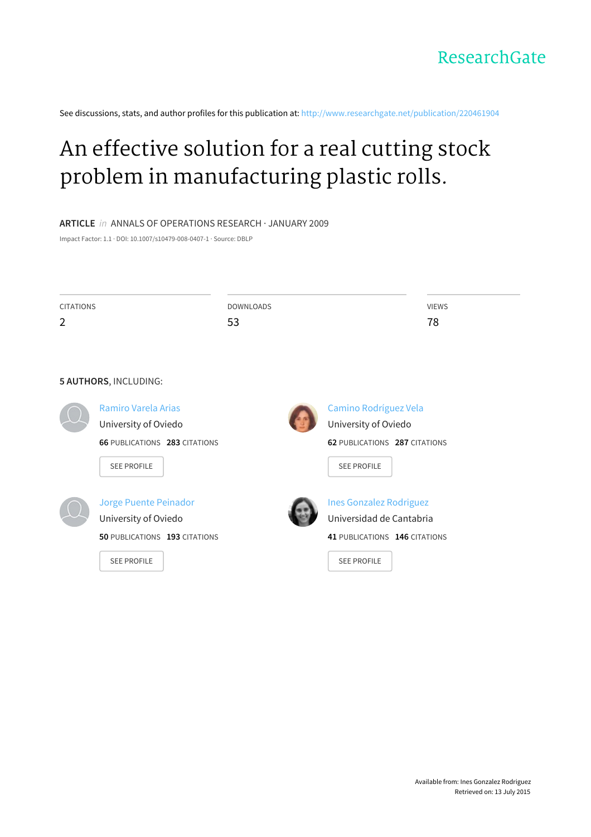See discussions, stats, and author profiles for this publication at: [http://www.researchgate.net/publication/220461904](http://www.researchgate.net/publication/220461904_An_effective_solution_for_a_real_cutting_stock_problem_in_manufacturing_plastic_rolls?enrichId=rgreq-87387a9e-a3ac-41d1-abe7-55974ce7247e&enrichSource=Y292ZXJQYWdlOzIyMDQ2MTkwNDtBUzoxMTQ3ODA1MDExODg2MDhAMTQwNDM3NzIxMjE2OQ%3D%3D&el=1_x_2)

# An effective solution for a real cutting stock problem in [manufacturing](http://www.researchgate.net/publication/220461904_An_effective_solution_for_a_real_cutting_stock_problem_in_manufacturing_plastic_rolls?enrichId=rgreq-87387a9e-a3ac-41d1-abe7-55974ce7247e&enrichSource=Y292ZXJQYWdlOzIyMDQ2MTkwNDtBUzoxMTQ3ODA1MDExODg2MDhAMTQwNDM3NzIxMjE2OQ%3D%3D&el=1_x_3) plastic rolls.

# **ARTICLE** in ANNALS OF OPERATIONS RESEARCH · JANUARY 2009

Impact Factor: 1.1 · DOI: 10.1007/s10479-008-0407-1 · Source: DBLP

| <b>CITATIONS</b> |                                      | <b>DOWNLOADS</b> |                                      | <b>VIEWS</b> |  |
|------------------|--------------------------------------|------------------|--------------------------------------|--------------|--|
| $\overline{2}$   |                                      | 53               |                                      | 78           |  |
|                  |                                      |                  |                                      |              |  |
|                  | 5 AUTHORS, INCLUDING:                |                  |                                      |              |  |
|                  | Ramiro Varela Arias                  |                  | Camino Rodríguez Vela                |              |  |
|                  | University of Oviedo                 |                  | University of Oviedo                 |              |  |
|                  | <b>66 PUBLICATIONS 283 CITATIONS</b> |                  | <b>62 PUBLICATIONS 287 CITATIONS</b> |              |  |
|                  | <b>SEE PROFILE</b>                   |                  | <b>SEE PROFILE</b>                   |              |  |
|                  |                                      |                  |                                      |              |  |
|                  | <b>Jorge Puente Peinador</b>         |                  | <b>Ines Gonzalez Rodriguez</b>       |              |  |
|                  | University of Oviedo                 |                  | Universidad de Cantabria             |              |  |
|                  | 50 PUBLICATIONS 193 CITATIONS        |                  | 41 PUBLICATIONS 146 CITATIONS        |              |  |
|                  | <b>SEE PROFILE</b>                   |                  | <b>SEE PROFILE</b>                   |              |  |
|                  |                                      |                  |                                      |              |  |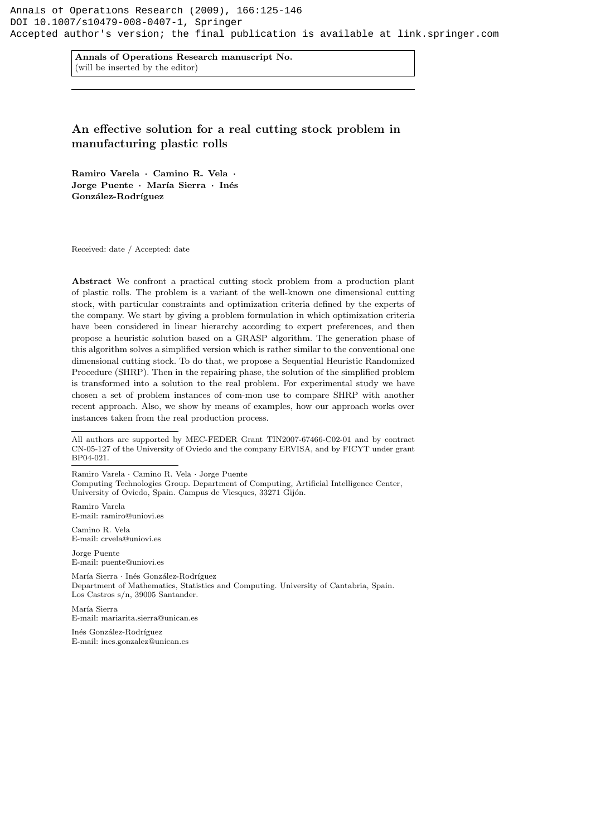Annals of Operations Research manuscript No. (will be inserted by the editor)

# An effective solution for a real cutting stock problem in manufacturing plastic rolls

Ramiro Varela · Camino R. Vela · Jorge Puente · María Sierra · Inés González-Rodríguez

Received: date / Accepted: date

Abstract We confront a practical cutting stock problem from a production plant of plastic rolls. The problem is a variant of the well-known one dimensional cutting stock, with particular constraints and optimization criteria defined by the experts of the company. We start by giving a problem formulation in which optimization criteria have been considered in linear hierarchy according to expert preferences, and then propose a heuristic solution based on a GRASP algorithm. The generation phase of this algorithm solves a simplified version which is rather similar to the conventional one dimensional cutting stock. To do that, we propose a Sequential Heuristic Randomized Procedure (SHRP). Then in the repairing phase, the solution of the simplified problem is transformed into a solution to the real problem. For experimental study we have chosen a set of problem instances of com-mon use to compare SHRP with another recent approach. Also, we show by means of examples, how our approach works over instances taken from the real production process.

Ramiro Varela · Camino R. Vela · Jorge Puente

Computing Technologies Group. Department of Computing, Artificial Intelligence Center, University of Oviedo, Spain. Campus de Viesques, 33271 Gijón.

Ramiro Varela E-mail: ramiro@uniovi.es

Camino R. Vela E-mail: crvela@uniovi.es

Jorge Puente E-mail: puente@uniovi.es

María Sierra · Inés González-Rodríguez Department of Mathematics, Statistics and Computing. University of Cantabria, Spain. Los Castros s/n, 39005 Santander.

María Sierra E-mail: mariarita.sierra@unican.es

Inés González-Rodríguez E-mail: ines.gonzalez@unican.es

All authors are supported by MEC-FEDER Grant TIN2007-67466-C02-01 and by contract CN-05-127 of the University of Oviedo and the company ERVISA, and by FICYT under grant BP04-021.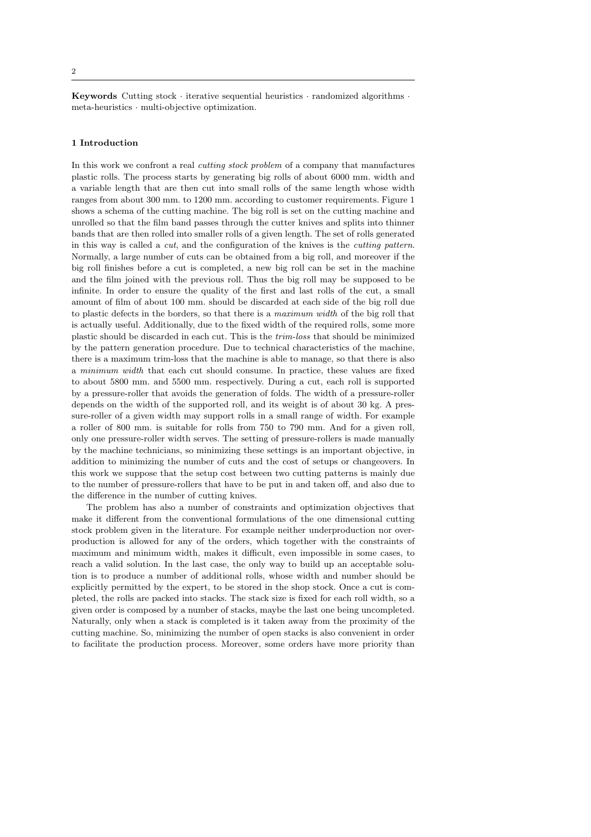2

**Keywords** Cutting stock  $\cdot$  iterative sequential heuristics  $\cdot$  randomized algorithms  $\cdot$ meta-heuristics · multi-objective optimization.

#### 1 Introduction

In this work we confront a real cutting stock problem of a company that manufactures plastic rolls. The process starts by generating big rolls of about 6000 mm. width and a variable length that are then cut into small rolls of the same length whose width ranges from about 300 mm. to 1200 mm. according to customer requirements. Figure 1 shows a schema of the cutting machine. The big roll is set on the cutting machine and unrolled so that the film band passes through the cutter knives and splits into thinner bands that are then rolled into smaller rolls of a given length. The set of rolls generated in this way is called a cut, and the configuration of the knives is the cutting pattern. Normally, a large number of cuts can be obtained from a big roll, and moreover if the big roll finishes before a cut is completed, a new big roll can be set in the machine and the film joined with the previous roll. Thus the big roll may be supposed to be infinite. In order to ensure the quality of the first and last rolls of the cut, a small amount of film of about 100 mm. should be discarded at each side of the big roll due to plastic defects in the borders, so that there is a maximum width of the big roll that is actually useful. Additionally, due to the fixed width of the required rolls, some more plastic should be discarded in each cut. This is the trim-loss that should be minimized by the pattern generation procedure. Due to technical characteristics of the machine, there is a maximum trim-loss that the machine is able to manage, so that there is also a minimum width that each cut should consume. In practice, these values are fixed to about 5800 mm. and 5500 mm. respectively. During a cut, each roll is supported by a pressure-roller that avoids the generation of folds. The width of a pressure-roller depends on the width of the supported roll, and its weight is of about 30 kg. A pressure-roller of a given width may support rolls in a small range of width. For example a roller of 800 mm. is suitable for rolls from 750 to 790 mm. And for a given roll, only one pressure-roller width serves. The setting of pressure-rollers is made manually by the machine technicians, so minimizing these settings is an important objective, in addition to minimizing the number of cuts and the cost of setups or changeovers. In this work we suppose that the setup cost between two cutting patterns is mainly due to the number of pressure-rollers that have to be put in and taken off, and also due to the difference in the number of cutting knives.

The problem has also a number of constraints and optimization objectives that make it different from the conventional formulations of the one dimensional cutting stock problem given in the literature. For example neither underproduction nor overproduction is allowed for any of the orders, which together with the constraints of maximum and minimum width, makes it difficult, even impossible in some cases, to reach a valid solution. In the last case, the only way to build up an acceptable solution is to produce a number of additional rolls, whose width and number should be explicitly permitted by the expert, to be stored in the shop stock. Once a cut is completed, the rolls are packed into stacks. The stack size is fixed for each roll width, so a given order is composed by a number of stacks, maybe the last one being uncompleted. Naturally, only when a stack is completed is it taken away from the proximity of the cutting machine. So, minimizing the number of open stacks is also convenient in order to facilitate the production process. Moreover, some orders have more priority than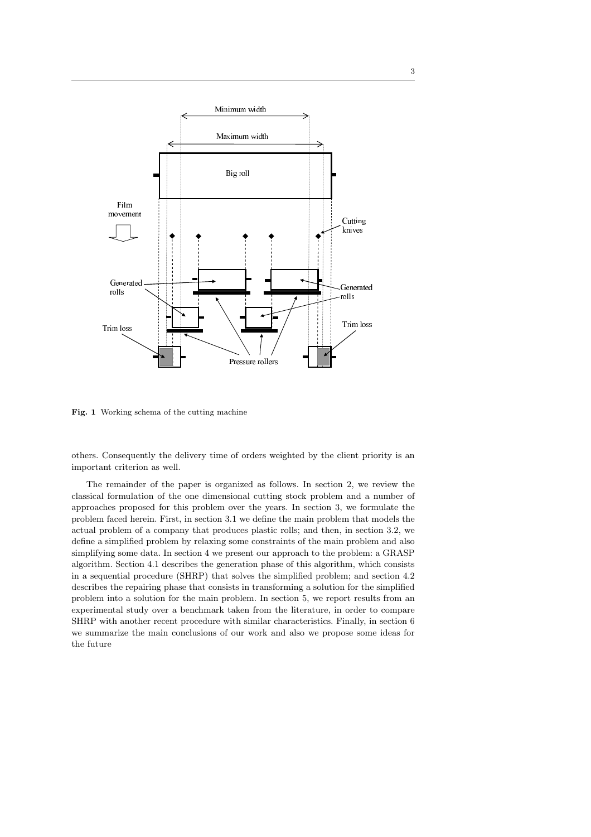

Fig. 1 Working schema of the cutting machine

others. Consequently the delivery time of orders weighted by the client priority is an important criterion as well.

The remainder of the paper is organized as follows. In section 2, we review the classical formulation of the one dimensional cutting stock problem and a number of approaches proposed for this problem over the years. In section 3, we formulate the problem faced herein. First, in section 3.1 we define the main problem that models the actual problem of a company that produces plastic rolls; and then, in section 3.2, we define a simplified problem by relaxing some constraints of the main problem and also simplifying some data. In section 4 we present our approach to the problem: a GRASP algorithm. Section 4.1 describes the generation phase of this algorithm, which consists in a sequential procedure (SHRP) that solves the simplified problem; and section 4.2 describes the repairing phase that consists in transforming a solution for the simplified problem into a solution for the main problem. In section 5, we report results from an experimental study over a benchmark taken from the literature, in order to compare SHRP with another recent procedure with similar characteristics. Finally, in section 6 we summarize the main conclusions of our work and also we propose some ideas for the future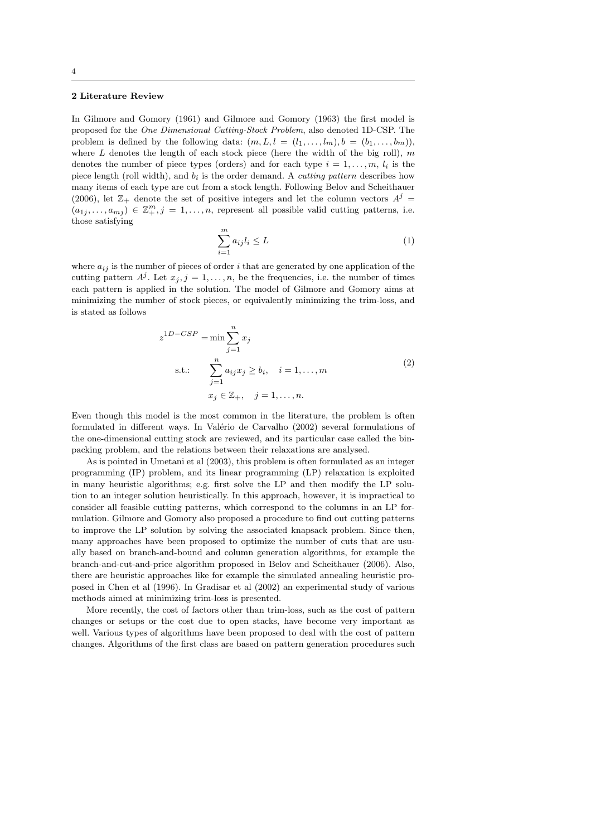#### 2 Literature Review

In Gilmore and Gomory (1961) and Gilmore and Gomory (1963) the first model is proposed for the One Dimensional Cutting-Stock Problem, also denoted 1D-CSP. The problem is defined by the following data:  $(m, L, l = (l_1, \ldots, l_m), b = (b_1, \ldots, b_m))$ , where  $L$  denotes the length of each stock piece (here the width of the big roll),  $m$ denotes the number of piece types (orders) and for each type  $i = 1, \ldots, m, l_i$  is the piece length (roll width), and  $b_i$  is the order demand. A *cutting pattern* describes how many items of each type are cut from a stock length. Following Belov and Scheithauer (2006), let  $\mathbb{Z}_+$  denote the set of positive integers and let the column vectors  $A^j$  =  $(a_{1j},...,a_{mj}) \in \mathbb{Z}_{+}^{m}, j=1,...,n$ , represent all possible valid cutting patterns, i.e. those satisfying

$$
\sum_{i=1}^{m} a_{ij} l_i \le L \tag{1}
$$

where  $a_{ij}$  is the number of pieces of order i that are generated by one application of the cutting pattern  $A^j$ . Let  $x_j$ ,  $j = 1, \ldots, n$ , be the frequencies, i.e. the number of times each pattern is applied in the solution. The model of Gilmore and Gomory aims at minimizing the number of stock pieces, or equivalently minimizing the trim-loss, and is stated as follows

z

$$
1D-CSP = \min \sum_{j=1}^{n} x_j
$$
  
s.t.: 
$$
\sum_{j=1}^{n} a_{ij} x_j \ge b_i, \quad i = 1, ..., m
$$

$$
x_j \in \mathbb{Z}_+, \quad j = 1, ..., n.
$$

$$
(2)
$$

Even though this model is the most common in the literature, the problem is often formulated in different ways. In Valério de Carvalho (2002) several formulations of the one-dimensional cutting stock are reviewed, and its particular case called the binpacking problem, and the relations between their relaxations are analysed.

As is pointed in Umetani et al (2003), this problem is often formulated as an integer programming (IP) problem, and its linear programming (LP) relaxation is exploited in many heuristic algorithms; e.g. first solve the LP and then modify the LP solution to an integer solution heuristically. In this approach, however, it is impractical to consider all feasible cutting patterns, which correspond to the columns in an LP formulation. Gilmore and Gomory also proposed a procedure to find out cutting patterns to improve the LP solution by solving the associated knapsack problem. Since then, many approaches have been proposed to optimize the number of cuts that are usually based on branch-and-bound and column generation algorithms, for example the branch-and-cut-and-price algorithm proposed in Belov and Scheithauer (2006). Also, there are heuristic approaches like for example the simulated annealing heuristic proposed in Chen et al (1996). In Gradisar et al (2002) an experimental study of various methods aimed at minimizing trim-loss is presented.

More recently, the cost of factors other than trim-loss, such as the cost of pattern changes or setups or the cost due to open stacks, have become very important as well. Various types of algorithms have been proposed to deal with the cost of pattern changes. Algorithms of the first class are based on pattern generation procedures such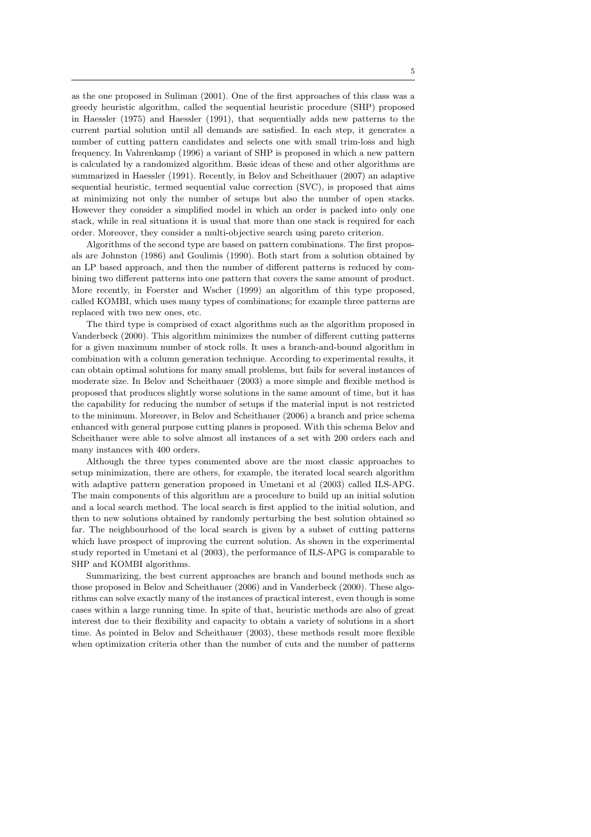as the one proposed in Suliman (2001). One of the first approaches of this class was a greedy heuristic algorithm, called the sequential heuristic procedure (SHP) proposed in Haessler (1975) and Haessler (1991), that sequentially adds new patterns to the current partial solution until all demands are satisfied. In each step, it generates a number of cutting pattern candidates and selects one with small trim-loss and high frequency. In Vahrenkamp (1996) a variant of SHP is proposed in which a new pattern is calculated by a randomized algorithm. Basic ideas of these and other algorithms are summarized in Haessler (1991). Recently, in Belov and Scheithauer (2007) an adaptive sequential heuristic, termed sequential value correction (SVC), is proposed that aims at minimizing not only the number of setups but also the number of open stacks. However they consider a simplified model in which an order is packed into only one stack, while in real situations it is usual that more than one stack is required for each order. Moreover, they consider a multi-objective search using pareto criterion.

Algorithms of the second type are based on pattern combinations. The first proposals are Johnston (1986) and Goulimis (1990). Both start from a solution obtained by an LP based approach, and then the number of different patterns is reduced by combining two different patterns into one pattern that covers the same amount of product. More recently, in Foerster and Wscher (1999) an algorithm of this type proposed, called KOMBI, which uses many types of combinations; for example three patterns are replaced with two new ones, etc.

The third type is comprised of exact algorithms such as the algorithm proposed in Vanderbeck (2000). This algorithm minimizes the number of different cutting patterns for a given maximum number of stock rolls. It uses a branch-and-bound algorithm in combination with a column generation technique. According to experimental results, it can obtain optimal solutions for many small problems, but fails for several instances of moderate size. In Belov and Scheithauer (2003) a more simple and flexible method is proposed that produces slightly worse solutions in the same amount of time, but it has the capability for reducing the number of setups if the material input is not restricted to the minimum. Moreover, in Belov and Scheithauer (2006) a branch and price schema enhanced with general purpose cutting planes is proposed. With this schema Belov and Scheithauer were able to solve almost all instances of a set with 200 orders each and many instances with 400 orders.

Although the three types commented above are the most classic approaches to setup minimization, there are others, for example, the iterated local search algorithm with adaptive pattern generation proposed in Umetani et al (2003) called ILS-APG. The main components of this algorithm are a procedure to build up an initial solution and a local search method. The local search is first applied to the initial solution, and then to new solutions obtained by randomly perturbing the best solution obtained so far. The neighbourhood of the local search is given by a subset of cutting patterns which have prospect of improving the current solution. As shown in the experimental study reported in Umetani et al (2003), the performance of ILS-APG is comparable to SHP and KOMBI algorithms.

Summarizing, the best current approaches are branch and bound methods such as those proposed in Belov and Scheithauer (2006) and in Vanderbeck (2000). These algorithms can solve exactly many of the instances of practical interest, even though is some cases within a large running time. In spite of that, heuristic methods are also of great interest due to their flexibility and capacity to obtain a variety of solutions in a short time. As pointed in Belov and Scheithauer (2003), these methods result more flexible when optimization criteria other than the number of cuts and the number of patterns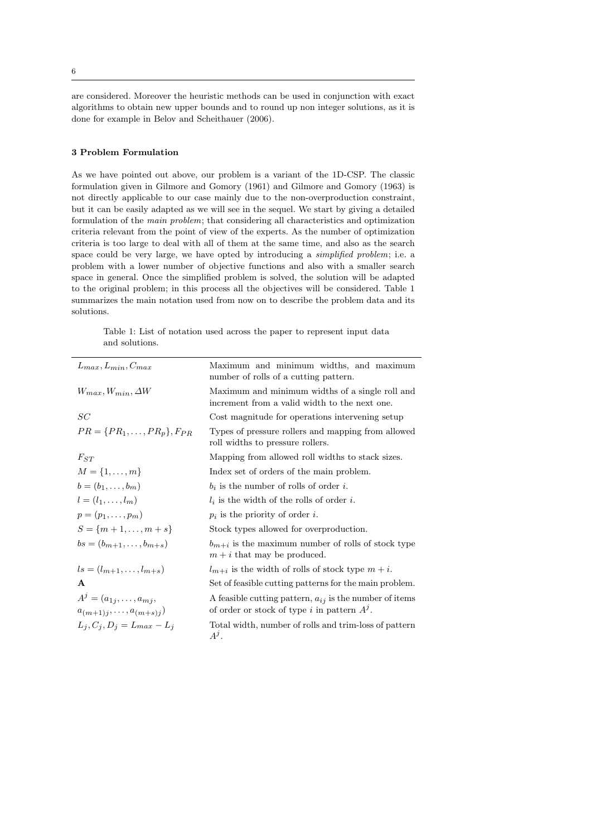are considered. Moreover the heuristic methods can be used in conjunction with exact algorithms to obtain new upper bounds and to round up non integer solutions, as it is done for example in Belov and Scheithauer (2006).

#### 3 Problem Formulation

As we have pointed out above, our problem is a variant of the 1D-CSP. The classic formulation given in Gilmore and Gomory (1961) and Gilmore and Gomory (1963) is not directly applicable to our case mainly due to the non-overproduction constraint, but it can be easily adapted as we will see in the sequel. We start by giving a detailed formulation of the main problem; that considering all characteristics and optimization criteria relevant from the point of view of the experts. As the number of optimization criteria is too large to deal with all of them at the same time, and also as the search space could be very large, we have opted by introducing a simplified problem; i.e. a problem with a lower number of objective functions and also with a smaller search space in general. Once the simplified problem is solved, the solution will be adapted to the original problem; in this process all the objectives will be considered. Table 1 summarizes the main notation used from now on to describe the problem data and its solutions.

Table 1: List of notation used across the paper to represent input data and solutions.

| $L_{max}, L_{min}, C_{max}$                                             | Maximum and minimum widths, and maximum<br>number of rolls of a cutting pattern.                             |  |  |  |  |
|-------------------------------------------------------------------------|--------------------------------------------------------------------------------------------------------------|--|--|--|--|
| $W_{max}, W_{min}, \Delta W$                                            | Maximum and minimum widths of a single roll and<br>increment from a valid width to the next one.             |  |  |  |  |
| SC                                                                      | Cost magnitude for operations intervening setup                                                              |  |  |  |  |
| $PR = \{PR_1, \ldots, PR_p\}, F_{PR}$                                   | Types of pressure rollers and mapping from allowed<br>roll widths to pressure rollers.                       |  |  |  |  |
| $F_{ST}$                                                                | Mapping from allowed roll widths to stack sizes.                                                             |  |  |  |  |
| $M = \{1, \ldots, m\}$                                                  | Index set of orders of the main problem.                                                                     |  |  |  |  |
| $b=(b_1,\ldots,b_m)$                                                    | $b_i$ is the number of rolls of order i.                                                                     |  |  |  |  |
| $l=(l_1,\ldots,l_m)$                                                    | $l_i$ is the width of the rolls of order <i>i</i> .                                                          |  |  |  |  |
| $p=(p_1,\ldots,p_m)$                                                    | $p_i$ is the priority of order i.                                                                            |  |  |  |  |
| $S = \{m+1, \ldots, m+s\}$                                              | Stock types allowed for overproduction.                                                                      |  |  |  |  |
| $bs = (b_{m+1}, \ldots, b_{m+s})$                                       | $b_{m+i}$ is the maximum number of rolls of stock type<br>$m + i$ that may be produced.                      |  |  |  |  |
| $ls = (l_{m+1}, \ldots, l_{m+s})$                                       | $l_{m+i}$ is the width of rolls of stock type $m+i$ .                                                        |  |  |  |  |
| A                                                                       | Set of feasible cutting patterns for the main problem.                                                       |  |  |  |  |
| $A^{j} = (a_{1j}, \ldots, a_{mj},$<br>$a_{(m+1)j}, \ldots, a_{(m+s)j})$ | A feasible cutting pattern, $a_{ij}$ is the number of items<br>of order or stock of type i in pattern $Aj$ . |  |  |  |  |
| $L_i, C_i, D_i = L_{max} - L_i$                                         | Total width, number of rolls and trim-loss of pattern<br>$A^{\jmath}$ .                                      |  |  |  |  |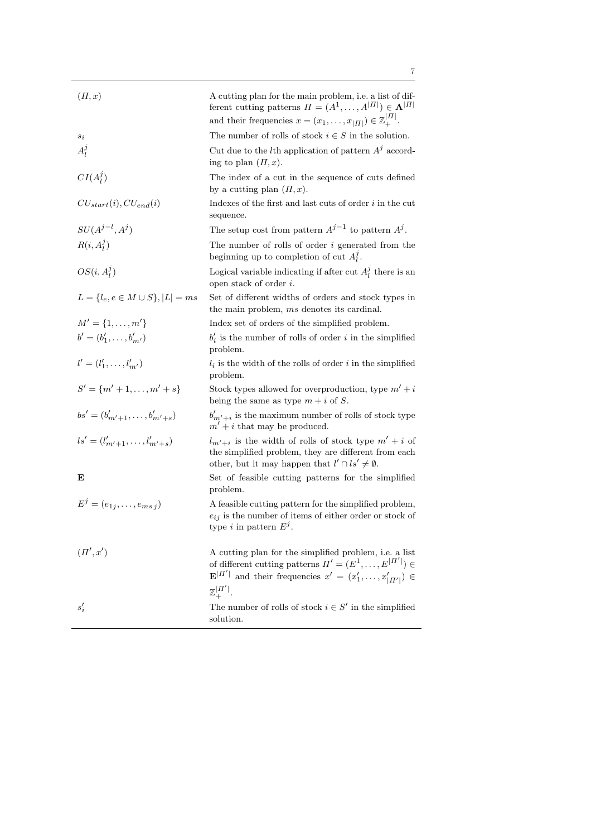| $(\Pi, x)$<br>$s_i$                     | A cutting plan for the main problem, i.e. a list of dif-<br>ferent cutting patterns $\Pi = (A^1, \dots, A^{ H }) \in \mathbf{A}^{ H }$<br>and their frequencies $x = (x_1, \ldots, x_{ H }) \in \mathbb{Z}_+^{ H }$ .<br>The number of rolls of stock $i \in S$ in the solution. |
|-----------------------------------------|----------------------------------------------------------------------------------------------------------------------------------------------------------------------------------------------------------------------------------------------------------------------------------|
| $A_l^j$                                 | Cut due to the <i>l</i> th application of pattern $Aj$ accord-<br>ing to plan $(\Pi, x)$ .                                                                                                                                                                                       |
| $CI(A_l^j)$                             | The index of a cut in the sequence of cuts defined<br>by a cutting plan $(\Pi, x)$ .                                                                                                                                                                                             |
| $CU_{start}(i), CU_{end}(i)$            | Indexes of the first and last cuts of order i in the cut<br>sequence.                                                                                                                                                                                                            |
| $SU(A^{j-l}, A^j)$                      | The setup cost from pattern $A^{j-1}$ to pattern $A^j$ .                                                                                                                                                                                                                         |
| R(i, A <sub>I</sub> <sup>j</sup> )      | The number of rolls of order $i$ generated from the<br>beginning up to completion of cut $A_l^j$ .                                                                                                                                                                               |
| OS(i, A <sub>l</sub> <sup>j</sup> )     | Logical variable indicating if after cut $A_l^j$ there is an<br>open stack of order $i$ .                                                                                                                                                                                        |
| $L = \{l_e, e \in M \cup S\},  L  = ms$ | Set of different widths of orders and stock types in<br>the main problem, ms denotes its cardinal.                                                                                                                                                                               |
| $M' = \{1, \ldots, m'\}$                | Index set of orders of the simplified problem.                                                                                                                                                                                                                                   |
| $b'=(b'_1,\ldots,b'_{m'})$              | $b_i$ is the number of rolls of order i in the simplified<br>problem.                                                                                                                                                                                                            |
| $l'=(l'_1,\ldots,l'_{m'})$              | $l_i$ is the width of the rolls of order i in the simplified<br>problem.                                                                                                                                                                                                         |
| $S' = \{m' + 1, \ldots, m' + s\}$       | Stock types allowed for overproduction, type $m' + i$<br>being the same as type $m + i$ of S.                                                                                                                                                                                    |
| $bs' = (b'_{m'+1}, \ldots, b'_{m'+s})$  | $b'_{m'+i}$ is the maximum number of rolls of stock type<br>$m' + i$ that may be produced.                                                                                                                                                                                       |
| $ls' = (l'_{m'+1}, \ldots, l'_{m'+s})$  | $l_{m'+i}$ is the width of rolls of stock type $m'+i$ of<br>the simplified problem, they are different from each<br>other, but it may happen that $l' \cap ls' \neq \emptyset$ .                                                                                                 |
| E                                       | Set of feasible cutting patterns for the simplified<br>problem.                                                                                                                                                                                                                  |
| $E^{j} = (e_{1j}, \ldots, e_{msj})$     | A feasible cutting pattern for the simplified problem,<br>$e_{ij}$ is the number of items of either order or stock of<br>type <i>i</i> in pattern $E^j$ .                                                                                                                        |
| $(\Pi',x')$                             | A cutting plan for the simplified problem, i.e. a list<br>of different cutting patterns $\Pi' = (E^1, \ldots, E^{ H' }) \in$<br>$\mathbf{E}^{ H' }$ and their frequencies $x' = (x'_1, \ldots, x'_{ H' }) \in$<br>$\mathbb{Z}_+^{ H' }.$                                         |
| $s_i'$                                  | The number of rolls of stock $i \in S'$ in the simplified<br>solution.                                                                                                                                                                                                           |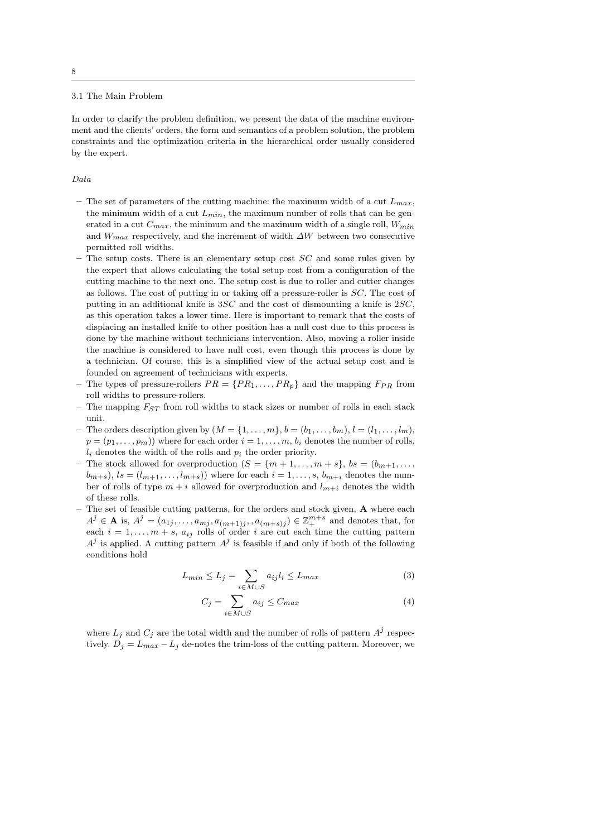#### 3.1 The Main Problem

In order to clarify the problem definition, we present the data of the machine environment and the clients' orders, the form and semantics of a problem solution, the problem constraints and the optimization criteria in the hierarchical order usually considered by the expert.

### Data

- The set of parameters of the cutting machine: the maximum width of a cut  $L_{max}$ , the minimum width of a cut  $L_{min}$ , the maximum number of rolls that can be generated in a cut  $C_{max}$ , the minimum and the maximum width of a single roll,  $W_{min}$ and  $W_{max}$  respectively, and the increment of width  $\Delta W$  between two consecutive permitted roll widths.
- The setup costs. There is an elementary setup cost  $SC$  and some rules given by the expert that allows calculating the total setup cost from a configuration of the cutting machine to the next one. The setup cost is due to roller and cutter changes as follows. The cost of putting in or taking off a pressure-roller is SC. The cost of putting in an additional knife is  $3SC$  and the cost of dismounting a knife is  $2SC$ , as this operation takes a lower time. Here is important to remark that the costs of displacing an installed knife to other position has a null cost due to this process is done by the machine without technicians intervention. Also, moving a roller inside the machine is considered to have null cost, even though this process is done by a technician. Of course, this is a simplified view of the actual setup cost and is founded on agreement of technicians with experts.
- The types of pressure-rollers  $PR = \{PR_1, \ldots, PR_p\}$  and the mapping  $F_{PR}$  from roll widths to pressure-rollers.
- The mapping  $F_{ST}$  from roll widths to stack sizes or number of rolls in each stack unit.
- The orders description given by  $(M = \{1, \ldots, m\}, b = (b_1, \ldots, b_m), l = (l_1, \ldots, l_m),$  $p = (p_1, \ldots, p_m)$  where for each order  $i = 1, \ldots, m, b_i$  denotes the number of rolls,  $l_i$  denotes the width of the rolls and  $p_i$  the order priority.
- The stock allowed for overproduction  $(S = \{m+1, \ldots, m+s\}, bs = (b_{m+1}, \ldots, b_{m+1})$  $(b_{m+s}),$   $ls = (l_{m+1}, \ldots, l_{m+s})$  where for each  $i = 1, \ldots, s, b_{m+i}$  denotes the number of rolls of type  $m + i$  allowed for overproduction and  $l_{m+i}$  denotes the width of these rolls.
- The set of feasible cutting patterns, for the orders and stock given, A where each  $A^j \in \mathbf{A}$  is,  $A^j = (a_{1j}, \ldots, a_{mj}, a_{(m+1)j}, a_{(m+s)j}) \in \mathbb{Z}_+^{m+s}$  and denotes that, for each  $i = 1, \ldots, m + s$ ,  $a_{ij}$  rolls of order i are cut each time the cutting pattern  $A^j$  is applied. A cutting pattern  $A^j$  is feasible if and only if both of the following conditions hold

$$
L_{min} \le L_j = \sum_{i \in M \cup S} a_{ij} l_i \le L_{max} \tag{3}
$$

$$
C_j = \sum_{i \in M \cup S} a_{ij} \le C_{max} \tag{4}
$$

where  $L_j$  and  $C_j$  are the total width and the number of rolls of pattern  $A^j$  respectively.  $D_j = L_{max} - L_j$  de-notes the trim-loss of the cutting pattern. Moreover, we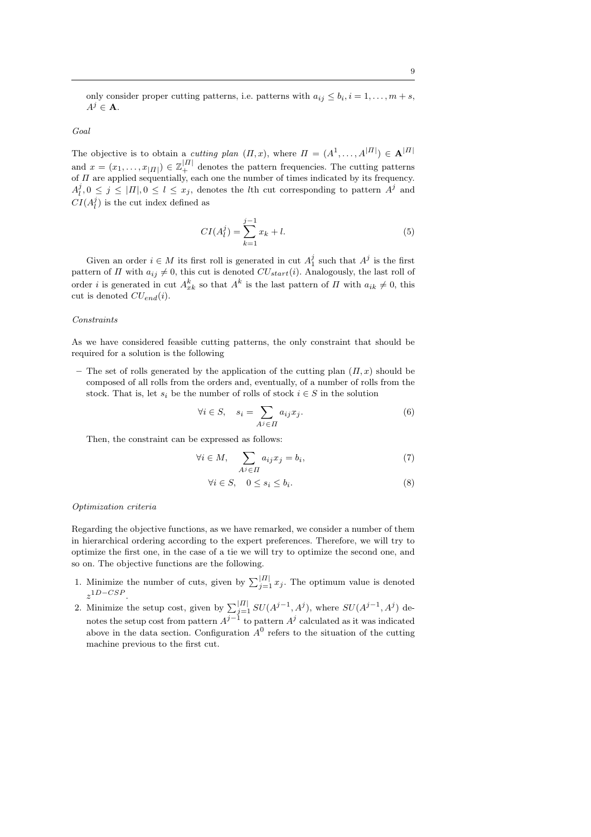only consider proper cutting patterns, i.e. patterns with  $a_{ij} \leq b_i, i = 1, \ldots, m + s$ ,  $A^j \in \mathbf{A}$ .

Goal

The objective is to obtain a *cutting plan*  $(\Pi, x)$ , where  $\Pi = (A^1, \dots, A^{|H|}) \in \mathbf{A}^{|H|}$ and  $x = (x_1, \ldots, x_{|I|}) \in \mathbb{Z}_+^{|I|}$  denotes the pattern frequencies. The cutting patterns of  $\Pi$  are applied sequentially, each one the number of times indicated by its frequency.  $A_l^j, 0 \leq j \leq |H|, 0 \leq l \leq x_j$ , denotes the *l*th cut corresponding to pattern  $A_j$  and  $CI(A_l^j)$  is the cut index defined as

$$
CI(A_l^j) = \sum_{k=1}^{j-1} x_k + l.
$$
 (5)

Given an order  $i \in M$  its first roll is generated in cut  $A_1^j$  such that  $A^j$  is the first pattern of  $\Pi$  with  $a_{ij} \neq 0$ , this cut is denoted  $CU_{start}(i)$ . Analogously, the last roll of order *i* is generated in cut  $A_{x_k}^k$  so that  $A^k$  is the last pattern of  $\Pi$  with  $a_{ik} \neq 0$ , this cut is denoted  $CU_{end}(i)$ .

#### Constraints

As we have considered feasible cutting patterns, the only constraint that should be required for a solution is the following

– The set of rolls generated by the application of the cutting plan  $(\Pi, x)$  should be composed of all rolls from the orders and, eventually, of a number of rolls from the stock. That is, let  $s_i$  be the number of rolls of stock  $i \in S$  in the solution

$$
\forall i \in S, \quad s_i = \sum_{A^j \in \Pi} a_{ij} x_j. \tag{6}
$$

Then, the constraint can be expressed as follows:

$$
\forall i \in M, \quad \sum_{A^j \in \Pi} a_{ij} x_j = b_i,\tag{7}
$$

$$
\forall i \in S, \quad 0 \le s_i \le b_i. \tag{8}
$$

#### Optimization criteria

Regarding the objective functions, as we have remarked, we consider a number of them in hierarchical ordering according to the expert preferences. Therefore, we will try to optimize the first one, in the case of a tie we will try to optimize the second one, and so on. The objective functions are the following.

- 1. Minimize the number of cuts, given by  $\sum_{j=1}^{|H|} x_j$ . The optimum value is denoted  $z^{1D-CSP}$ .
- 2. Minimize the setup cost, given by  $\sum_{j=1}^{|I|} SU(A^{j-1}, A^j)$ , where  $SU(A^{j-1}, A^j)$  denotes the setup cost from pattern  $A^{j-1}$  to pattern  $A^j$  calculated as it was indicated above in the data section. Configuration  $A^0$  refers to the situation of the cutting machine previous to the first cut.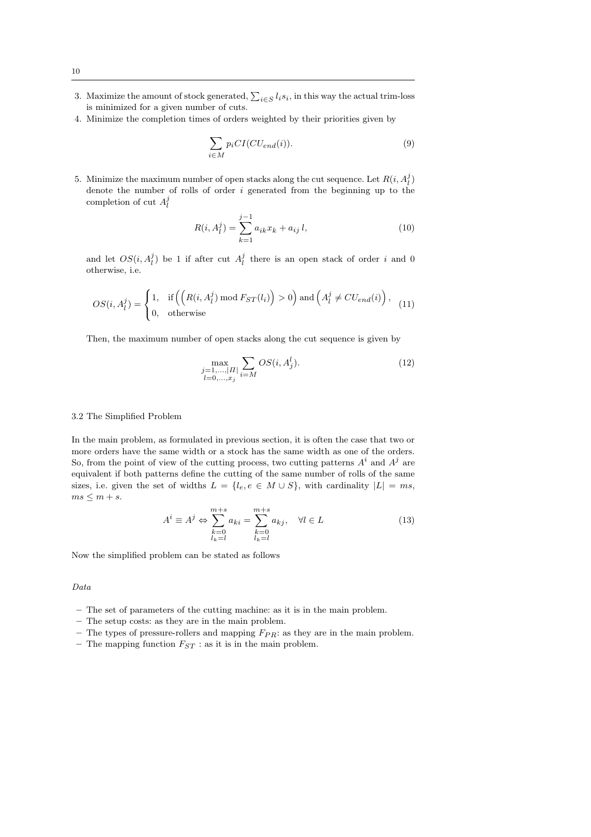- 3. Maximize the amount of stock generated,  $\sum_{i \in S} l_i s_i$ , in this way the actual trim-loss is minimized for a given number of cuts.
- 4. Minimize the completion times of orders weighted by their priorities given by

$$
\sum_{i \in M} p_i CI(CU_{end}(i)).\tag{9}
$$

5. Minimize the maximum number of open stacks along the cut sequence. Let  $R(i,A_l^j)$ denote the number of rolls of order  $i$  generated from the beginning up to the completion of cut  $A_l^j$ 

$$
R(i, A_l^j) = \sum_{k=1}^{j-1} a_{ik} x_k + a_{ij} l,
$$
\n(10)

and let  $OS(i, A_l^j)$  be 1 if after cut  $A_l^j$  there is an open stack of order i and 0 otherwise, i.e.

$$
OS(i, A_l^j) = \begin{cases} 1, & \text{if } \left( \left( R(i, A_l^j) \bmod F_{ST}(l_i) \right) > 0 \right) \text{and } \left( A_l^j \neq CU_{end}(i) \right), \\ 0, & \text{otherwise} \end{cases}
$$
(11)

Then, the maximum number of open stacks along the cut sequence is given by

$$
\max_{\substack{j=1,\dots,|I|\\l=0,\dots,x_j}} \sum_{i=M} OS(i, A_j^l). \tag{12}
$$

#### 3.2 The Simplified Problem

In the main problem, as formulated in previous section, it is often the case that two or more orders have the same width or a stock has the same width as one of the orders. So, from the point of view of the cutting process, two cutting patterns  $A^i$  and  $A^j$  are equivalent if both patterns define the cutting of the same number of rolls of the same sizes, i.e. given the set of widths  $L = \{l_e, e \in M \cup S\}$ , with cardinality  $|L| = ms$ ,  $ms \leq m + s$ .

$$
A^{i} \equiv A^{j} \Leftrightarrow \sum_{\substack{k=0 \ l_k=l}}^{m+s} a_{ki} = \sum_{\substack{k=0 \ l_k=l}}^{m+s} a_{kj}, \quad \forall l \in L
$$
 (13)

Now the simplified problem can be stated as follows

#### Data

- The set of parameters of the cutting machine: as it is in the main problem.
- The setup costs: as they are in the main problem.
- The types of pressure-rollers and mapping  $F_{PR}$ : as they are in the main problem.
- The mapping function  $F_{ST}$ : as it is in the main problem.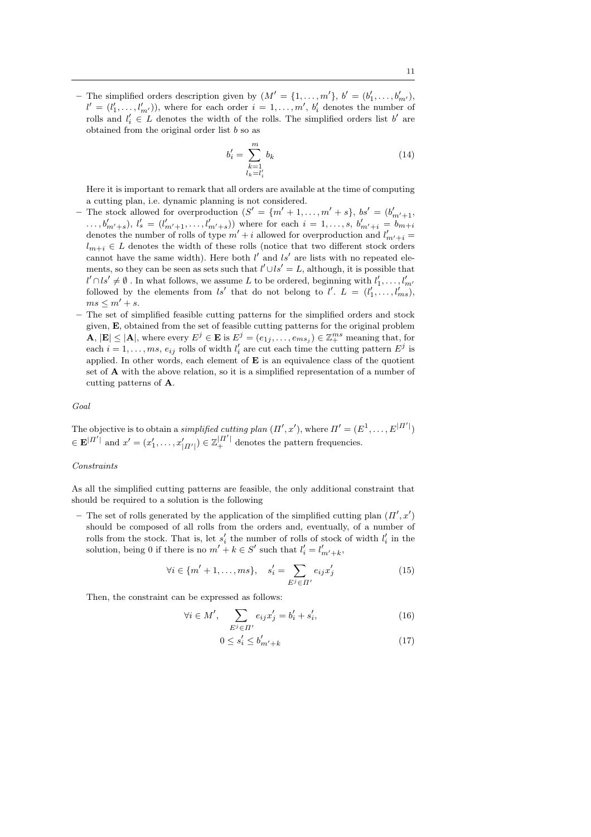- The simplified orders description given by  $(M' = \{1, ..., m'\}, b' = (b'_1, ..., b'_{m'}),$  $l' = (l'_1, \ldots, l'_{m'})$ , where for each order  $i = 1, \ldots, m'$ ,  $b'_i$  denotes the number of rolls and  $l'_i \in L$  denotes the width of the rolls. The simplified orders list b' are obtained from the original order list  $b$  so as

$$
b_i' = \sum_{\substack{k=1\\l_k = l_i'}}^m b_k \tag{14}
$$

Here it is important to remark that all orders are available at the time of computing a cutting plan, i.e. dynamic planning is not considered.

- The stock allowed for overproduction  $(S' = \{m' + 1, \ldots, m' + s\}, bs' = (b'_{m'+1},$  $\dots, b'_{m'+s}$ ,  $l'_{s} = (l'_{m'+1}, \dots, l'_{m'+s})$  where for each  $i = 1, \dots, s$ ,  $b'_{m'+i} = b_{m+i}$ denotes the number of rolls of type  $m' + i$  allowed for overproduction and  $l'_{m'+i}$  $l_{m+i} \in L$  denotes the width of these rolls (notice that two different stock orders cannot have the same width). Here both  $l'$  and  $ls'$  are lists with no repeated elements, so they can be seen as sets such that  $l' \cup ls' = L$ , although, it is possible that  $l' \cap ls' \neq \emptyset$ . In what follows, we assume L to be ordered, beginning with  $l'_1, \ldots, l'_{m'}$ followed by the elements from  $ls'$  that do not belong to  $l'. L = (l'_1, \ldots, l'_{ms}),$  $ms \leq m' + s$ .
- The set of simplified feasible cutting patterns for the simplified orders and stock given, E, obtained from the set of feasible cutting patterns for the original problem  $\mathbf{A}, |\mathbf{E}| \leq |\mathbf{A}|$ , where every  $E^j \in \mathbf{E}$  is  $E^j = (e_{1j}, \ldots, e_{msj}) \in \mathbb{Z}_+^{ms}$  meaning that, for each  $i = 1, ..., ms$ ,  $e_{ij}$  rolls of width  $l'_i$  are cut each time the cutting pattern  $E^j$  is applied. In other words, each element of  $E$  is an equivalence class of the quotient set of A with the above relation, so it is a simplified representation of a number of cutting patterns of A.

Goal

The objective is to obtain a *simplified cutting plan*  $(\Pi', x')$ , where  $\Pi' = (E^1, \ldots, E^{|H'|})$  $\in \mathbf{E}^{||H'||}$  and  $x' = (x'_1, \ldots, x'_{||H||}) \in \mathbb{Z}_+^{|H'||}$  denotes the pattern frequencies.

#### Constraints

As all the simplified cutting patterns are feasible, the only additional constraint that should be required to a solution is the following

– The set of rolls generated by the application of the simplified cutting plan  $(\Pi', x')$ should be composed of all rolls from the orders and, eventually, of a number of rolls from the stock. That is, let  $s_i'$  the number of rolls of stock of width  $l_i'$  in the solution, being 0 if there is no  $m' + k \in S'$  such that  $l'_i = l'_{m'+k}$ ,

$$
\forall i \in \{m' + 1, ..., ms\}, \quad s'_i = \sum_{E^j \in \Pi'} e_{ij} x'_j \tag{15}
$$

Then, the constraint can be expressed as follows:

$$
\forall i \in M', \quad \sum_{E^j \in \Pi'} e_{ij} x'_j = b'_i + s'_i,\tag{16}
$$

$$
0 \le s_i' \le b'_{m'+k} \tag{17}
$$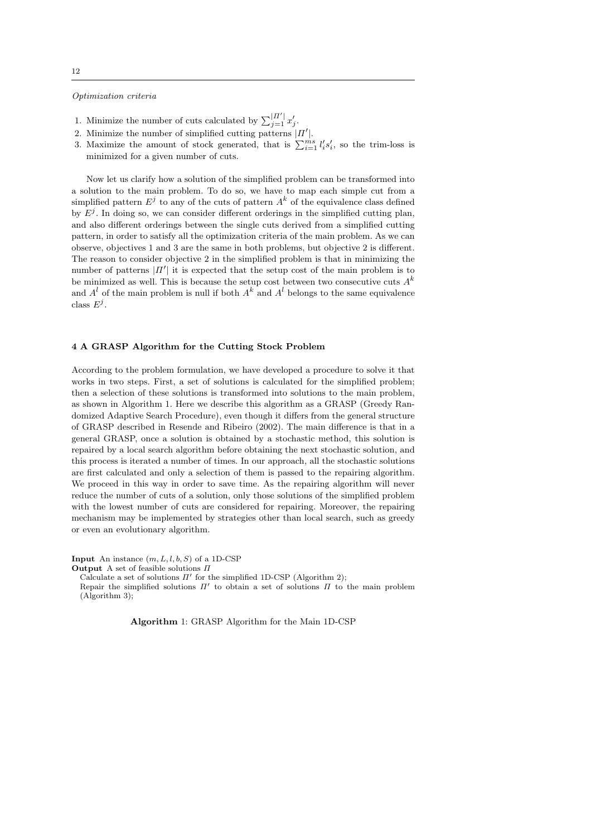#### Optimization criteria

- 1. Minimize the number of cuts calculated by  $\sum_{j=1}^{|H'|} x'_j$ .
- 2. Minimize the number of simplified cutting patterns  $| \Pi' |$ .
- 3. Maximize the number of simplified cutting patterns  $\begin{bmatrix} I I \\ I' \end{bmatrix}$  is  $\begin{bmatrix} I' \\ I'' \end{bmatrix}$  is  $\begin{bmatrix} I' \\ I'' \end{bmatrix}$  and  $\begin{bmatrix} I' \\ I'' \end{bmatrix}$  is  $\begin{bmatrix} I' \\ I'' \end{bmatrix}$  is  $\begin{bmatrix} I' \\ I'' \end{bmatrix}$  and  $\begin{bmatrix} I' \\ I'' \end{bmatrix}$  is  $\begin{$ minimized for a given number of cuts.

Now let us clarify how a solution of the simplified problem can be transformed into a solution to the main problem. To do so, we have to map each simple cut from a simplified pattern  $E^j$  to any of the cuts of pattern  $A^k$  of the equivalence class defined by  $E^j$ . In doing so, we can consider different orderings in the simplified cutting plan, and also different orderings between the single cuts derived from a simplified cutting pattern, in order to satisfy all the optimization criteria of the main problem. As we can observe, objectives 1 and 3 are the same in both problems, but objective 2 is different. The reason to consider objective 2 in the simplified problem is that in minimizing the number of patterns  $|I|$  it is expected that the setup cost of the main problem is to be minimized as well. This is because the setup cost between two consecutive cuts  $A^k$ and  $A^l$  of the main problem is null if both  $A^k$  and  $A^l$  belongs to the same equivalence class  $E^j$ .

# 4 A GRASP Algorithm for the Cutting Stock Problem

According to the problem formulation, we have developed a procedure to solve it that works in two steps. First, a set of solutions is calculated for the simplified problem; then a selection of these solutions is transformed into solutions to the main problem, as shown in Algorithm 1. Here we describe this algorithm as a GRASP (Greedy Randomized Adaptive Search Procedure), even though it differs from the general structure of GRASP described in Resende and Ribeiro (2002). The main difference is that in a general GRASP, once a solution is obtained by a stochastic method, this solution is repaired by a local search algorithm before obtaining the next stochastic solution, and this process is iterated a number of times. In our approach, all the stochastic solutions are first calculated and only a selection of them is passed to the repairing algorithm. We proceed in this way in order to save time. As the repairing algorithm will never reduce the number of cuts of a solution, only those solutions of the simplified problem with the lowest number of cuts are considered for repairing. Moreover, the repairing mechanism may be implemented by strategies other than local search, such as greedy or even an evolutionary algorithm.

**Input** An instance  $(m, L, l, b, S)$  of a 1D-CSP

Output A set of feasible solutions  $\Pi$ 

Calculate a set of solutions  $\Pi'$  for the simplified 1D-CSP (Algorithm 2);

Repair the simplified solutions  $\Pi'$  to obtain a set of solutions  $\Pi$  to the main problem (Algorithm 3);

Algorithm 1: GRASP Algorithm for the Main 1D-CSP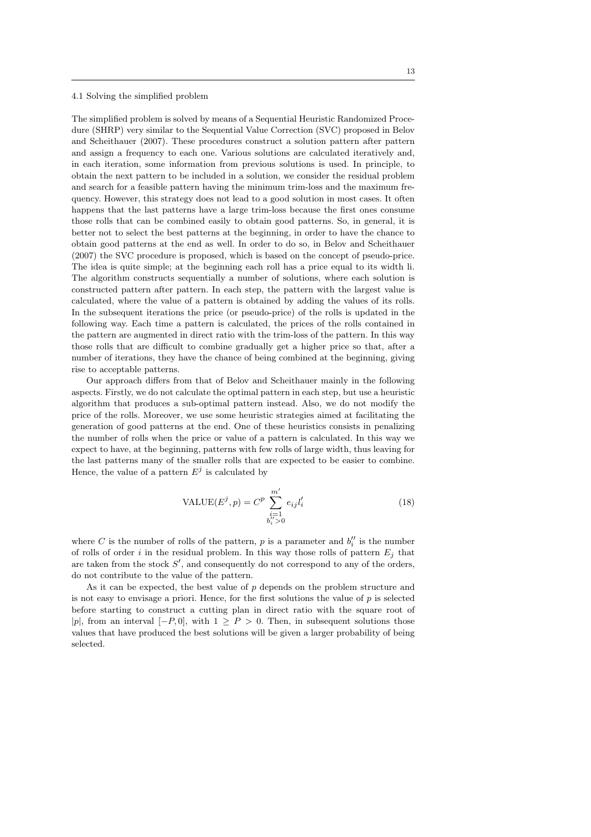#### 4.1 Solving the simplified problem

The simplified problem is solved by means of a Sequential Heuristic Randomized Procedure (SHRP) very similar to the Sequential Value Correction (SVC) proposed in Belov and Scheithauer (2007). These procedures construct a solution pattern after pattern and assign a frequency to each one. Various solutions are calculated iteratively and, in each iteration, some information from previous solutions is used. In principle, to obtain the next pattern to be included in a solution, we consider the residual problem and search for a feasible pattern having the minimum trim-loss and the maximum frequency. However, this strategy does not lead to a good solution in most cases. It often happens that the last patterns have a large trim-loss because the first ones consume those rolls that can be combined easily to obtain good patterns. So, in general, it is better not to select the best patterns at the beginning, in order to have the chance to obtain good patterns at the end as well. In order to do so, in Belov and Scheithauer (2007) the SVC procedure is proposed, which is based on the concept of pseudo-price. The idea is quite simple; at the beginning each roll has a price equal to its width li. The algorithm constructs sequentially a number of solutions, where each solution is constructed pattern after pattern. In each step, the pattern with the largest value is calculated, where the value of a pattern is obtained by adding the values of its rolls. In the subsequent iterations the price (or pseudo-price) of the rolls is updated in the following way. Each time a pattern is calculated, the prices of the rolls contained in the pattern are augmented in direct ratio with the trim-loss of the pattern. In this way those rolls that are difficult to combine gradually get a higher price so that, after a number of iterations, they have the chance of being combined at the beginning, giving rise to acceptable patterns.

Our approach differs from that of Belov and Scheithauer mainly in the following aspects. Firstly, we do not calculate the optimal pattern in each step, but use a heuristic algorithm that produces a sub-optimal pattern instead. Also, we do not modify the price of the rolls. Moreover, we use some heuristic strategies aimed at facilitating the generation of good patterns at the end. One of these heuristics consists in penalizing the number of rolls when the price or value of a pattern is calculated. In this way we expect to have, at the beginning, patterns with few rolls of large width, thus leaving for the last patterns many of the smaller rolls that are expected to be easier to combine. Hence, the value of a pattern  $E^j$  is calculated by

$$
\text{VALUE}(E^j, p) = C^p \sum_{\substack{i=1 \ b_i' > 0}}^{m'} e_{ij} l_i' \tag{18}
$$

where C is the number of rolls of the pattern, p is a parameter and  $b_i''$  is the number of rolls of order i in the residual problem. In this way those rolls of pattern  $E_i$  that are taken from the stock  $S'$ , and consequently do not correspond to any of the orders, do not contribute to the value of the pattern.

As it can be expected, the best value of  $p$  depends on the problem structure and is not easy to envisage a priori. Hence, for the first solutions the value of  $p$  is selected before starting to construct a cutting plan in direct ratio with the square root of |p|, from an interval  $[-P, 0]$ , with  $1 \geq P > 0$ . Then, in subsequent solutions those values that have produced the best solutions will be given a larger probability of being selected.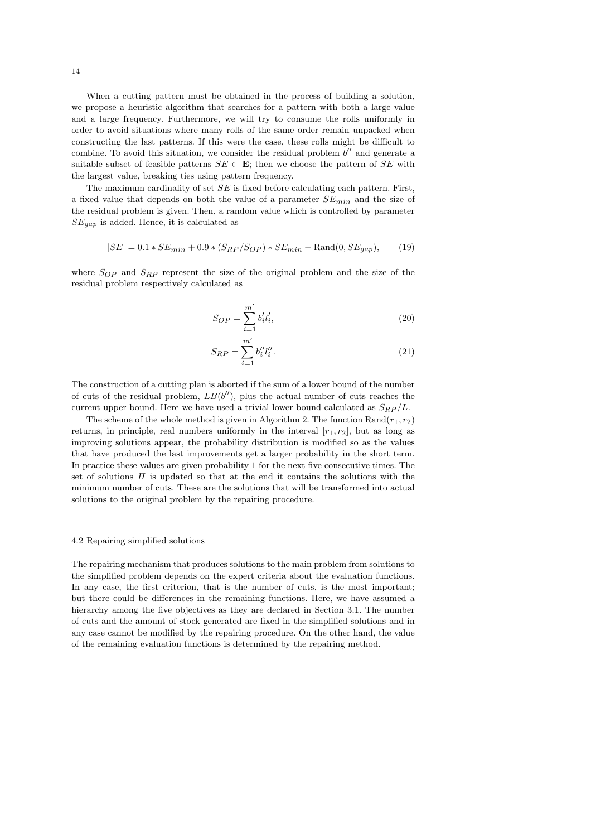When a cutting pattern must be obtained in the process of building a solution, we propose a heuristic algorithm that searches for a pattern with both a large value and a large frequency. Furthermore, we will try to consume the rolls uniformly in order to avoid situations where many rolls of the same order remain unpacked when constructing the last patterns. If this were the case, these rolls might be difficult to combine. To avoid this situation, we consider the residual problem  $b''$  and generate a suitable subset of feasible patterns  $SE \subset \mathbf{E}$ ; then we choose the pattern of SE with the largest value, breaking ties using pattern frequency.

The maximum cardinality of set  $SE$  is fixed before calculating each pattern. First, a fixed value that depends on both the value of a parameter  $SE_{min}$  and the size of the residual problem is given. Then, a random value which is controlled by parameter  $SE_{gap}$  is added. Hence, it is calculated as

$$
|SE| = 0.1 * SE_{min} + 0.9 * (S_{RP}/S_{OP}) * SE_{min} + \text{Rand}(0, SE_{gap}), \qquad (19)
$$

where  $S_{OP}$  and  $S_{RP}$  represent the size of the original problem and the size of the residual problem respectively calculated as

$$
S_{OP} = \sum_{i=1}^{m'} b'_i l'_i,
$$
\n(20)

$$
S_{RP} = \sum_{i=1}^{m'} b_i'' l_i''.
$$
\n(21)

The construction of a cutting plan is aborted if the sum of a lower bound of the number of cuts of the residual problem,  $LB(b'')$ , plus the actual number of cuts reaches the current upper bound. Here we have used a trivial lower bound calculated as  $S_{RP}/L$ .

The scheme of the whole method is given in Algorithm 2. The function  $\text{Rand}(r_1, r_2)$ returns, in principle, real numbers uniformly in the interval  $[r_1, r_2]$ , but as long as improving solutions appear, the probability distribution is modified so as the values that have produced the last improvements get a larger probability in the short term. In practice these values are given probability 1 for the next five consecutive times. The set of solutions  $\Pi$  is updated so that at the end it contains the solutions with the minimum number of cuts. These are the solutions that will be transformed into actual solutions to the original problem by the repairing procedure.

#### 4.2 Repairing simplified solutions

The repairing mechanism that produces solutions to the main problem from solutions to the simplified problem depends on the expert criteria about the evaluation functions. In any case, the first criterion, that is the number of cuts, is the most important; but there could be differences in the remaining functions. Here, we have assumed a hierarchy among the five objectives as they are declared in Section 3.1. The number of cuts and the amount of stock generated are fixed in the simplified solutions and in any case cannot be modified by the repairing procedure. On the other hand, the value of the remaining evaluation functions is determined by the repairing method.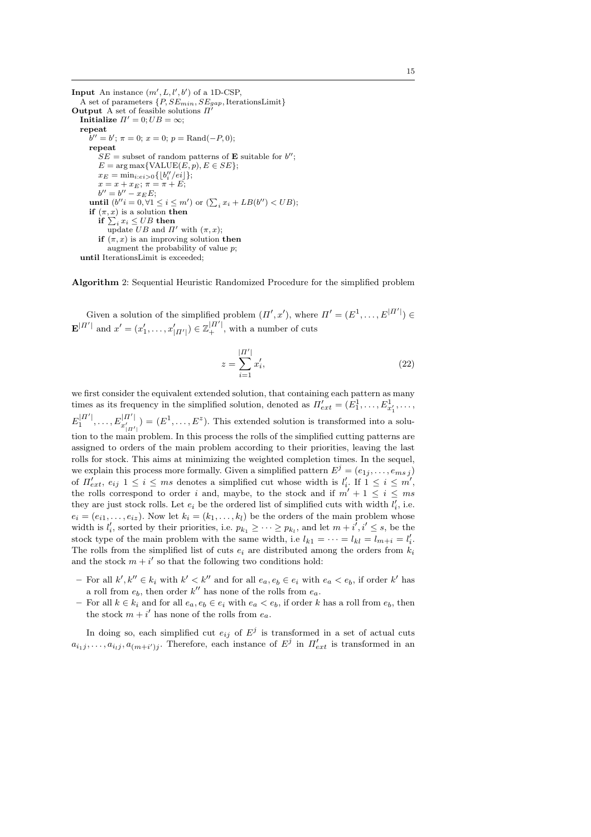Input An instance  $(m', L, l', b')$  of a 1D-CSP, A set of parameters  $\{P, SE_{min}, SE_{gap}, \text{IterationsLimit}\}$ **Output** A set of feasible solutions  $\Pi'$ Initialize  $\Pi' = 0$ ;  $UB = \infty$ ; repeat  $b'' = b'$ ;  $\pi = 0$ ;  $x = 0$ ;  $p = \text{Rand}(-P, 0)$ ; repeat  $SE$  = subset of random patterns of **E** suitable for  $b''$ ;  $E = \arg \max \{ \text{VALUE}(E, p), E \in SE \};$  $x_E = \min_{i:e_i > 0} \{ \lfloor b''_i/e_i \rfloor \};$  $x = x + x_E; \, \pi = \pi + E;$  $b'' = b'' - x_E E;$ **until**  $(b''i = 0, \forall 1 \le i \le m')$  or  $(\sum_i x_i + LB(b'') < UB)$ ; if  $(\pi, x)$  is a solution then  $(\pi, x)$  is a solution  ${\bf tr} \ {\bf if} \ \sum_i x_i \le UB$  then update  $UB$  and  $\Pi'$  with  $(\pi, x)$ ; if  $(\pi, x)$  is an improving solution then augment the probability of value  $p$ ; until IterationsLimit is exceeded;

Algorithm 2: Sequential Heuristic Randomized Procedure for the simplified problem

Given a solution of the simplified problem  $(\Pi', x')$ , where  $\Pi' = (E^1, \ldots, E^{|H'|}) \in$  $\mathbf{E}^{|H'|}$  and  $x' = (x'_1, \ldots, x'_{|H'|}) \in \mathbb{Z}_+^{|H'|}$ , with a number of cuts

$$
z = \sum_{i=1}^{|H'|} x'_i,
$$
\n(22)

we first consider the equivalent extended solution, that containing each pattern as many times as its frequency in the simplified solution, denoted as  $\Pi'_{ext} = (E_1^1, \ldots, E_{x'_1}^1, \ldots, E_{x'_n}^1)$ 1  $E_1^{|H'|},\ldots,E_{x_{i-1}^{'}}^{|H'|}$  $\binom{|H'|}{x'_{|H'|}} = (E^1, \ldots, E^z)$ . This extended solution is transformed into a solution to the main problem. In this process the rolls of the simplified cutting patterns are assigned to orders of the main problem according to their priorities, leaving the last rolls for stock. This aims at minimizing the weighted completion times. In the sequel, we explain this process more formally. Given a simplified pattern  $E^j = (e_{1j}, \ldots, e_{msj})$ of  $\Pi'_{ext}$ ,  $e_{ij}$   $1 \leq i \leq ms$  denotes a simplified cut whose width is  $l'_i$ . If  $1 \leq i \leq m'$ , the rolls correspond to order i and, maybe, to the stock and if  $m' + 1 \leq i \leq ms$ they are just stock rolls. Let  $e_i$  be the ordered list of simplified cuts with width  $l'_i$ , i.e.  $e_i = (e_{i1}, \ldots, e_{iz})$ . Now let  $k_i = (k_1, \ldots, k_l)$  be the orders of the main problem whose width is  $l'_i$ , sorted by their priorities, i.e.  $p_{k_1} \geq \cdots \geq p_{k_l}$ , and let  $m + i', i' \leq s$ , be the stock type of the main problem with the same width, i.e  $l_{k1} = \cdots = l_{kl} = l_{m+i} = l'_i$ . The rolls from the simplified list of cuts  $e_i$  are distributed among the orders from  $k_i$ and the stock  $m + i'$  so that the following two conditions hold:

- For all  $k', k'' \in k_i$  with  $k' < k''$  and for all  $e_a, e_b \in e_i$  with  $e_a < e_b$ , if order  $k'$  has a roll from  $e_b$ , then order  $k''$  has none of the rolls from  $e_a$ .
- For all  $k \in k_i$  and for all  $e_a, e_b \in e_i$  with  $e_a < e_b$ , if order k has a roll from  $e_b$ , then the stock  $m + i'$  has none of the rolls from  $e_a$ .

In doing so, each simplified cut  $e_{ij}$  of  $E^j$  is transformed in a set of actual cuts  $a_{i_1j}, \ldots, a_{i_lj}, a_{(m+i')j}$ . Therefore, each instance of  $E^j$  in  $\Pi'_{ext}$  is transformed in an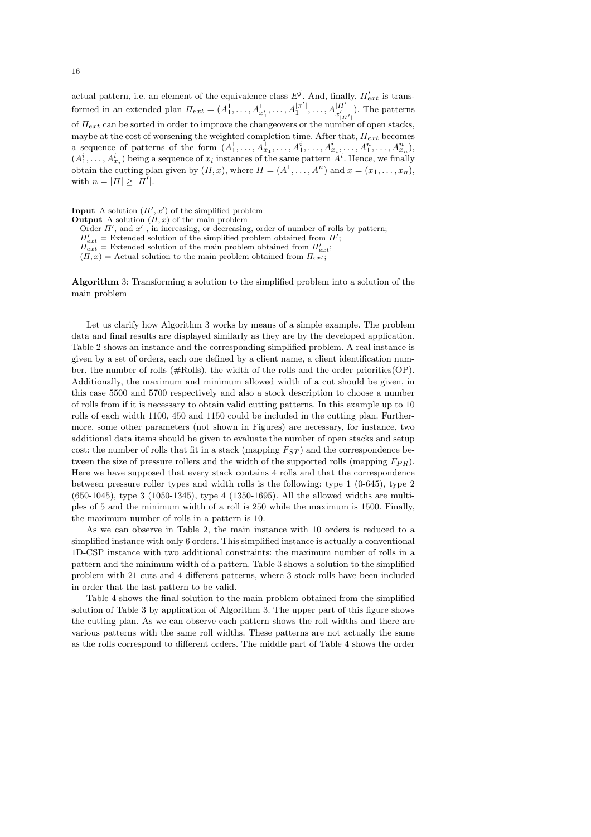actual pattern, i.e. an element of the equivalence class  $E^j$ . And, finally,  $\Pi'_{ext}$  is transformed in an extended plan  $\Pi_{ext} = (A_1^1, \ldots, A_{x'_1}^1, \ldots, A_1^{|\pi'|}, \ldots, A_{x'_{|\pi'|}}^{|\Pi'|})$  $\binom{|H|}{x'_{|H'|}}$ . The patterns of  $\Pi_{ext}$  can be sorted in order to improve the changeovers or the number of open stacks, maybe at the cost of worsening the weighted completion time. After that,  $H_{ext}$  becomes a sequence of patterns of the form  $(A_1^1, \ldots, A_{x_1}^1, \ldots, A_1^i, \ldots, A_{x_i}^i, \ldots, A_1^n, \ldots, A_{x_n}^n)$ ,  $(A_1^i, \ldots, A_{x_i}^i)$  being a sequence of  $x_i$  instances of the same pattern  $A^i$ . Hence, we finally obtain the cutting plan given by  $(\Pi, x)$ , where  $\Pi = (A^1, \dots, A^n)$  and  $x = (x_1, \dots, x_n)$ , with  $n = |H| \geq |H'|$ .

- **Input** A solution  $(\Pi', x')$  of the simplified problem
- **Output** A solution  $(\Pi, x)$  of the main problem
	- Order  $\Pi'$ , and  $x'$ , in increasing, orderceasing, order of number of rolls by pattern;
	- $\Pi'_{ext}$  = Extended solution of the simplified problem obtained from  $\Pi'$ ;
	- $\overline{\Pi_{ext}}^{\infty}$  = Extended solution of the main problem obtained from  $\overline{\Pi'_{ext}}$ ;
	- $(\Pi, x)$  = Actual solution to the main problem obtained from  $\Pi_{ext}$ ;

Algorithm 3: Transforming a solution to the simplified problem into a solution of the main problem

Let us clarify how Algorithm 3 works by means of a simple example. The problem data and final results are displayed similarly as they are by the developed application. Table 2 shows an instance and the corresponding simplified problem. A real instance is given by a set of orders, each one defined by a client name, a client identification number, the number of rolls ( $\#$ Rolls), the width of the rolls and the order priorities(OP). Additionally, the maximum and minimum allowed width of a cut should be given, in this case 5500 and 5700 respectively and also a stock description to choose a number of rolls from if it is necessary to obtain valid cutting patterns. In this example up to 10 rolls of each width 1100, 450 and 1150 could be included in the cutting plan. Furthermore, some other parameters (not shown in Figures) are necessary, for instance, two additional data items should be given to evaluate the number of open stacks and setup cost: the number of rolls that fit in a stack (mapping  $F_{ST}$ ) and the correspondence between the size of pressure rollers and the width of the supported rolls (mapping  $F_{PR}$ ). Here we have supposed that every stack contains 4 rolls and that the correspondence between pressure roller types and width rolls is the following: type 1 (0-645), type 2 (650-1045), type 3 (1050-1345), type 4 (1350-1695). All the allowed widths are multiples of 5 and the minimum width of a roll is 250 while the maximum is 1500. Finally, the maximum number of rolls in a pattern is 10.

As we can observe in Table 2, the main instance with 10 orders is reduced to a simplified instance with only 6 orders. This simplified instance is actually a conventional 1D-CSP instance with two additional constraints: the maximum number of rolls in a pattern and the minimum width of a pattern. Table 3 shows a solution to the simplified problem with 21 cuts and 4 different patterns, where 3 stock rolls have been included in order that the last pattern to be valid.

Table 4 shows the final solution to the main problem obtained from the simplified solution of Table 3 by application of Algorithm 3. The upper part of this figure shows the cutting plan. As we can observe each pattern shows the roll widths and there are various patterns with the same roll widths. These patterns are not actually the same as the rolls correspond to different orders. The middle part of Table 4 shows the order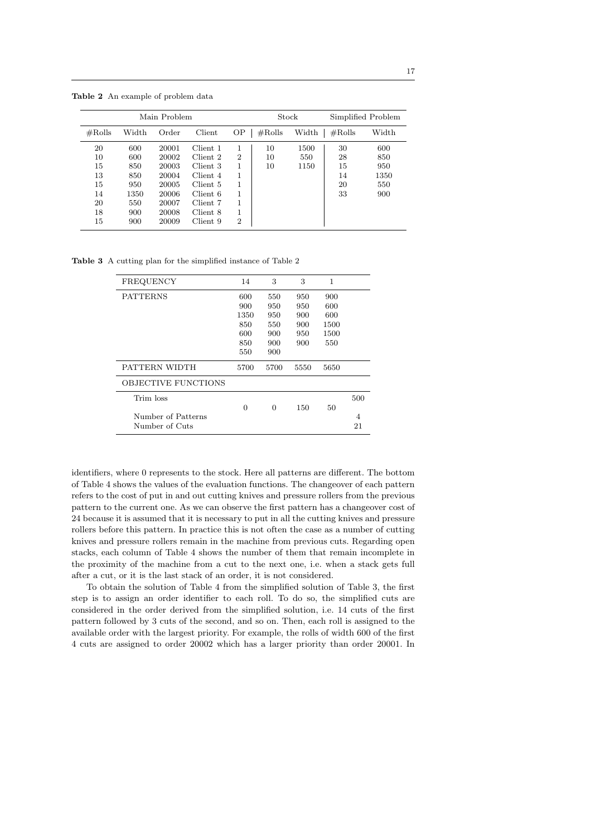Table 2 An example of problem data

| Main Problem     |       |       |          |                | Stock            |       |                  | Simplified Problem |  |
|------------------|-------|-------|----------|----------------|------------------|-------|------------------|--------------------|--|
| $\#\text{Rolls}$ | Width | Order | Client   | ΟP             | $\#\text{Rolls}$ | Width | $\#\text{Rolls}$ | Width              |  |
| 20               | 600   | 20001 | Client 1 | 1              | 10               | 1500  | 30               | 600                |  |
| 10               | 600   | 20002 | Client 2 | 2              | 10               | 550   | 28               | 850                |  |
| 15               | 850   | 20003 | Client 3 | 1              | 10               | 1150  | 15               | 950                |  |
| 13               | 850   | 20004 | Client 4 | 1              |                  |       | 14               | 1350               |  |
| 15               | 950   | 20005 | Client 5 | 1              |                  |       | 20               | 550                |  |
| 14               | 1350  | 20006 | Client 6 |                |                  |       | 33               | 900                |  |
| 20               | 550   | 20007 | Client 7 |                |                  |       |                  |                    |  |
| 18               | 900   | 20008 | Client 8 | 1              |                  |       |                  |                    |  |
| 15               | 900   | 20009 | Client 9 | $\overline{2}$ |                  |       |                  |                    |  |

Table 3 A cutting plan for the simplified instance of Table 2

| 14       | 3        | 3    | 1    |                |
|----------|----------|------|------|----------------|
| 600      | 550      | 950  | 900  |                |
| 900      | 950      | 950  | 600  |                |
| 1350     | 950      | 900  | 600  |                |
| 850      | 550      | 900  | 1500 |                |
| 600      | 900      | 950  | 1500 |                |
| 850      | 900      | 900  | 550  |                |
| 550      | 900      |      |      |                |
| 5700     | 5700     | 5550 | 5650 |                |
|          |          |      |      |                |
|          |          |      |      | 500            |
| $\Omega$ | $\Omega$ | 150  | 50   |                |
|          |          |      |      | $\overline{4}$ |
|          |          |      |      | 21             |
|          |          |      |      |                |

identifiers, where 0 represents to the stock. Here all patterns are different. The bottom of Table 4 shows the values of the evaluation functions. The changeover of each pattern refers to the cost of put in and out cutting knives and pressure rollers from the previous pattern to the current one. As we can observe the first pattern has a changeover cost of 24 because it is assumed that it is necessary to put in all the cutting knives and pressure rollers before this pattern. In practice this is not often the case as a number of cutting knives and pressure rollers remain in the machine from previous cuts. Regarding open stacks, each column of Table 4 shows the number of them that remain incomplete in the proximity of the machine from a cut to the next one, i.e. when a stack gets full after a cut, or it is the last stack of an order, it is not considered.

To obtain the solution of Table 4 from the simplified solution of Table 3, the first step is to assign an order identifier to each roll. To do so, the simplified cuts are considered in the order derived from the simplified solution, i.e. 14 cuts of the first pattern followed by 3 cuts of the second, and so on. Then, each roll is assigned to the available order with the largest priority. For example, the rolls of width 600 of the first 4 cuts are assigned to order 20002 which has a larger priority than order 20001. In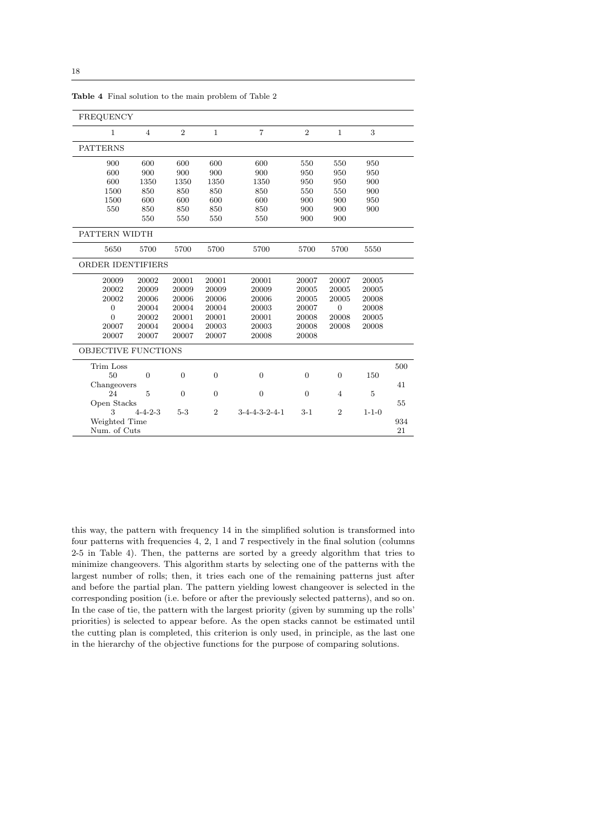| FREQUENCY                  |                 |                |                |                 |                |                |             |     |
|----------------------------|-----------------|----------------|----------------|-----------------|----------------|----------------|-------------|-----|
| $\mathbf{1}$               | $\overline{4}$  | $\overline{2}$ | $\mathbf{1}$   | $\overline{7}$  | $\overline{2}$ | $\mathbf{1}$   | 3           |     |
| <b>PATTERNS</b>            |                 |                |                |                 |                |                |             |     |
| 900                        | 600             | 600            | 600            | 600             | 550            | 550            | 950         |     |
| 600                        | 900             | 900            | 900            | 900             | 950            | 950            | 950         |     |
| 600                        | 1350            | 1350           | 1350           | 1350            | 950            | 950            | 900         |     |
| 1500                       | 850             | 850            | 850            | 850             | 550            | 550            | 900         |     |
| 1500                       | 600             | 600            | 600            | 600             | 900            | 900            | 950         |     |
| 550                        | 850             | 850            | 850            | 850             | 900            | 900            | 900         |     |
|                            | 550             | 550            | 550            | 550             | 900            | 900            |             |     |
| PATTERN WIDTH              |                 |                |                |                 |                |                |             |     |
| 5650                       | 5700            | 5700           | 5700           | 5700            | 5700           | 5700           | 5550        |     |
| <b>ORDER IDENTIFIERS</b>   |                 |                |                |                 |                |                |             |     |
| 20009                      | 20002           | 20001          | 20001          | 20001           | 20007          | 20007          | 20005       |     |
| 20002                      | 20009           | 20009          | 20009          | 20009           | 20005          | 20005          | 20005       |     |
| 20002                      | 20006           | 20006          | 20006          | 20006           | 20005          | 20005          | 20008       |     |
| $\overline{0}$             | 20004           | 20004          | 20004          | 20003           | 20007          | $\overline{0}$ | 20008       |     |
| $\overline{0}$             | 20002           | 20001          | 20001          | 20001           | 20008          | 20008          | 20005       |     |
| 20007                      | 20004           | 20004          | 20003          | 20003           | 20008          | 20008          | 20008       |     |
| 20007                      | 20007           | 20007          | 20007          | 20008           | 20008          |                |             |     |
| <b>OBJECTIVE FUNCTIONS</b> |                 |                |                |                 |                |                |             |     |
| Trim Loss                  |                 |                |                |                 |                |                |             | 500 |
| 50                         | $\overline{0}$  | $\overline{0}$ | $\overline{0}$ | $\overline{0}$  | $\overline{0}$ | $\overline{0}$ | 150         |     |
| Changeovers                |                 |                |                |                 |                |                |             | 41  |
| 24                         | 5               | $\overline{0}$ | $\overline{0}$ | $\overline{0}$  | $\overline{0}$ | $\overline{4}$ | 5           |     |
| Open Stacks                |                 |                |                |                 |                |                |             | 55  |
| 3                          | $4 - 4 - 2 - 3$ | $5 - 3$        | $\overline{2}$ | $3-4-4-3-2-4-1$ | $3 - 1$        | $\overline{2}$ | $1 - 1 - 0$ |     |
| Weighted Time              |                 |                |                |                 |                |                |             | 934 |
| Num. of Cuts               |                 |                |                |                 |                |                |             | 21  |

Table 4 Final solution to the main problem of Table 2

this way, the pattern with frequency 14 in the simplified solution is transformed into four patterns with frequencies 4, 2, 1 and 7 respectively in the final solution (columns 2-5 in Table 4). Then, the patterns are sorted by a greedy algorithm that tries to minimize changeovers. This algorithm starts by selecting one of the patterns with the largest number of rolls; then, it tries each one of the remaining patterns just after and before the partial plan. The pattern yielding lowest changeover is selected in the corresponding position (i.e. before or after the previously selected patterns), and so on. In the case of tie, the pattern with the largest priority (given by summing up the rolls' priorities) is selected to appear before. As the open stacks cannot be estimated until the cutting plan is completed, this criterion is only used, in principle, as the last one in the hierarchy of the objective functions for the purpose of comparing solutions.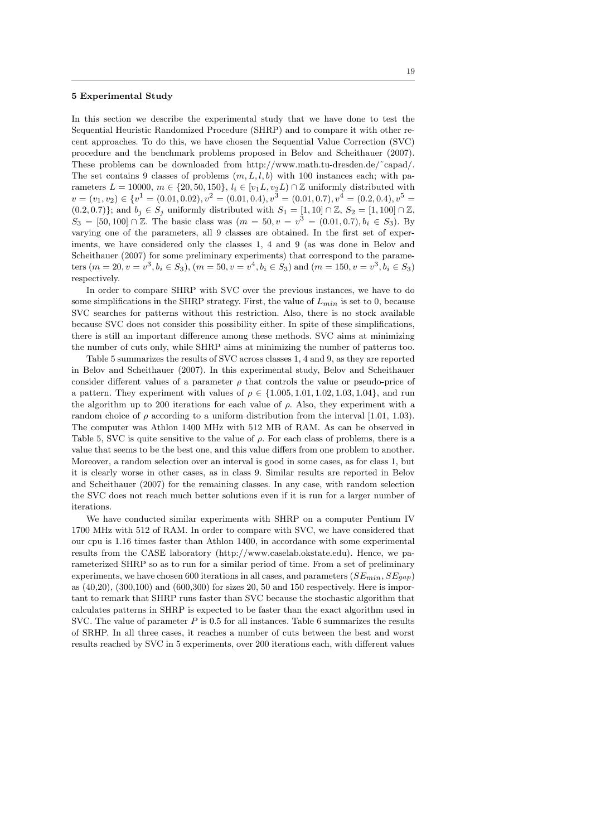#### 5 Experimental Study

In this section we describe the experimental study that we have done to test the Sequential Heuristic Randomized Procedure (SHRP) and to compare it with other recent approaches. To do this, we have chosen the Sequential Value Correction (SVC) procedure and the benchmark problems proposed in Belov and Scheithauer (2007). These problems can be downloaded from http://www.math.tu-dresden.de/˜capad/. The set contains 9 classes of problems  $(m, L, l, b)$  with 100 instances each; with parameters  $L = 10000, m \in \{20, 50, 150\}, l_i \in [v_1L, v_2L) \cap \mathbb{Z}$  uniformly distributed with  $v = (v_1, v_2) \in \{v^1 = (0.01, 0.02), v^2 = (0.01, 0.4), v^3 = (0.01, 0.7), v^4 = (0.2, 0.4), v^5 =$  $(0.2, 0.7)$ ; and  $b_j \in S_j$  uniformly distributed with  $S_1 = [1, 10] \cap \mathbb{Z}$ ,  $S_2 = [1, 100] \cap \mathbb{Z}$ ,  $S_3 = [50, 100] \cap \mathbb{Z}$ . The basic class was  $(m = 50, v = v^3 = (0.01, 0.7), b_i \in S_3)$ . By varying one of the parameters, all 9 classes are obtained. In the first set of experiments, we have considered only the classes 1, 4 and 9 (as was done in Belov and Scheithauer (2007) for some preliminary experiments) that correspond to the parameters  $(m = 20, v = v^3, b_i \in S_3)$ ,  $(m = 50, v = v^4, b_i \in S_3)$  and  $(m = 150, v = v^3, b_i \in S_3)$ respectively.

In order to compare SHRP with SVC over the previous instances, we have to do some simplifications in the SHRP strategy. First, the value of  $L_{min}$  is set to 0, because SVC searches for patterns without this restriction. Also, there is no stock available because SVC does not consider this possibility either. In spite of these simplifications, there is still an important difference among these methods. SVC aims at minimizing the number of cuts only, while SHRP aims at minimizing the number of patterns too.

Table 5 summarizes the results of SVC across classes 1, 4 and 9, as they are reported in Belov and Scheithauer (2007). In this experimental study, Belov and Scheithauer consider different values of a parameter  $\rho$  that controls the value or pseudo-price of a pattern. They experiment with values of  $\rho \in \{1.005, 1.01, 1.02, 1.03, 1.04\}$ , and run the algorithm up to 200 iterations for each value of  $\rho$ . Also, they experiment with a random choice of  $\rho$  according to a uniform distribution from the interval [1.01, 1.03). The computer was Athlon 1400 MHz with 512 MB of RAM. As can be observed in Table 5, SVC is quite sensitive to the value of  $\rho$ . For each class of problems, there is a value that seems to be the best one, and this value differs from one problem to another. Moreover, a random selection over an interval is good in some cases, as for class 1, but it is clearly worse in other cases, as in class 9. Similar results are reported in Belov and Scheithauer (2007) for the remaining classes. In any case, with random selection the SVC does not reach much better solutions even if it is run for a larger number of iterations.

We have conducted similar experiments with SHRP on a computer Pentium IV 1700 MHz with 512 of RAM. In order to compare with SVC, we have considered that our cpu is 1.16 times faster than Athlon 1400, in accordance with some experimental results from the CASE laboratory (http://www.caselab.okstate.edu). Hence, we parameterized SHRP so as to run for a similar period of time. From a set of preliminary experiments, we have chosen 600 iterations in all cases, and parameters  $(SE_{min}, SE_{gap})$ as (40,20), (300,100) and (600,300) for sizes 20, 50 and 150 respectively. Here is important to remark that SHRP runs faster than SVC because the stochastic algorithm that calculates patterns in SHRP is expected to be faster than the exact algorithm used in SVC. The value of parameter  $P$  is 0.5 for all instances. Table 6 summarizes the results of SRHP. In all three cases, it reaches a number of cuts between the best and worst results reached by SVC in 5 experiments, over 200 iterations each, with different values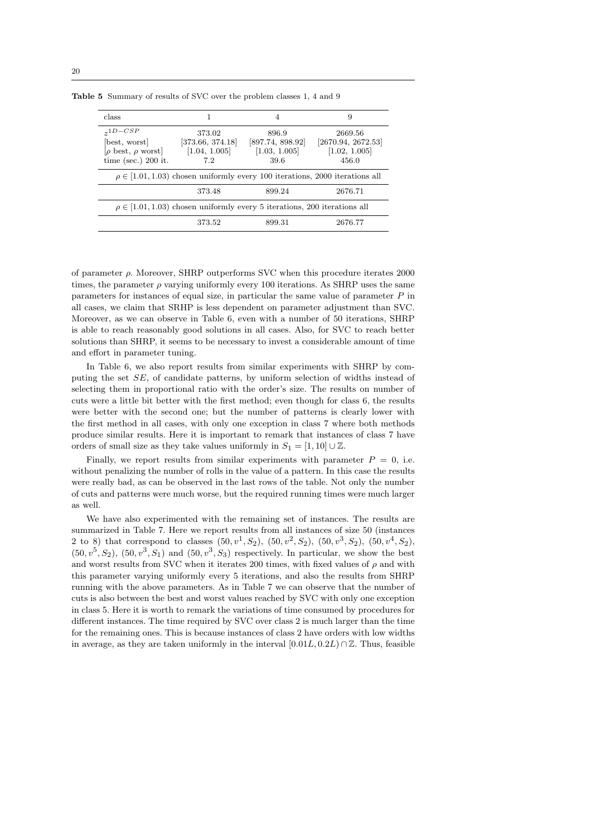| class                                                                                                  |                                                                                 | 4                                                  | 9                                                                                  |
|--------------------------------------------------------------------------------------------------------|---------------------------------------------------------------------------------|----------------------------------------------------|------------------------------------------------------------------------------------|
| $\gamma^{1D-CSP}$<br>best, worst<br>$[\rho \text{ best}, \rho \text{ worst}]$<br>time (sec.) $200$ it. | 373.02<br>[373.66, 374.18]<br>[1.04, 1.005]<br>7.2                              | 896.9<br>[897.74, 898.92]<br>[1.03, 1.005]<br>39.6 | 2669.56<br>[2670.94, 2672.53]<br>[1.02, 1.005]<br>456.0                            |
|                                                                                                        |                                                                                 |                                                    | $\rho \in [1.01, 1.03]$ chosen uniformly every 100 iterations, 2000 iterations all |
|                                                                                                        | 373.48                                                                          | 899.24                                             | 2676.71                                                                            |
|                                                                                                        | $\rho \in [1.01, 1.03]$ chosen uniformly every 5 iterations, 200 iterations all |                                                    |                                                                                    |
|                                                                                                        | 373.52                                                                          | 899.31                                             | 2676.77                                                                            |

Table 5 Summary of results of SVC over the problem classes 1, 4 and 9

of parameter  $\rho$ . Moreover, SHRP outperforms SVC when this procedure iterates 2000 times, the parameter  $\rho$  varying uniformly every 100 iterations. As SHRP uses the same parameters for instances of equal size, in particular the same value of parameter  $P$  in all cases, we claim that SRHP is less dependent on parameter adjustment than SVC. Moreover, as we can observe in Table 6, even with a number of 50 iterations, SHRP is able to reach reasonably good solutions in all cases. Also, for SVC to reach better solutions than SHRP, it seems to be necessary to invest a considerable amount of time and effort in parameter tuning.

In Table 6, we also report results from similar experiments with SHRP by computing the set SE, of candidate patterns, by uniform selection of widths instead of selecting them in proportional ratio with the order's size. The results on number of cuts were a little bit better with the first method; even though for class 6, the results were better with the second one; but the number of patterns is clearly lower with the first method in all cases, with only one exception in class 7 where both methods produce similar results. Here it is important to remark that instances of class 7 have orders of small size as they take values uniformly in  $S_1 = [1, 10] \cup \mathbb{Z}$ .

Finally, we report results from similar experiments with parameter  $P = 0$ , i.e. without penalizing the number of rolls in the value of a pattern. In this case the results were really bad, as can be observed in the last rows of the table. Not only the number of cuts and patterns were much worse, but the required running times were much larger as well.

We have also experimented with the remaining set of instances. The results are summarized in Table 7. Here we report results from all instances of size 50 (instances 2 to 8) that correspond to classes  $(50, v^1, S_2)$ ,  $(50, v^2, S_2)$ ,  $(50, v^3, S_2)$ ,  $(50, v^4, S_2)$ ,  $(50, v^5, S_2), (50, v^3, S_1)$  and  $(50, v^3, S_3)$  respectively. In particular, we show the best and worst results from SVC when it iterates 200 times, with fixed values of  $\rho$  and with this parameter varying uniformly every 5 iterations, and also the results from SHRP running with the above parameters. As in Table 7 we can observe that the number of cuts is also between the best and worst values reached by SVC with only one exception in class 5. Here it is worth to remark the variations of time consumed by procedures for different instances. The time required by SVC over class 2 is much larger than the time for the remaining ones. This is because instances of class 2 have orders with low widths in average, as they are taken uniformly in the interval  $[0.01L, 0.2L] \cap \mathbb{Z}$ . Thus, feasible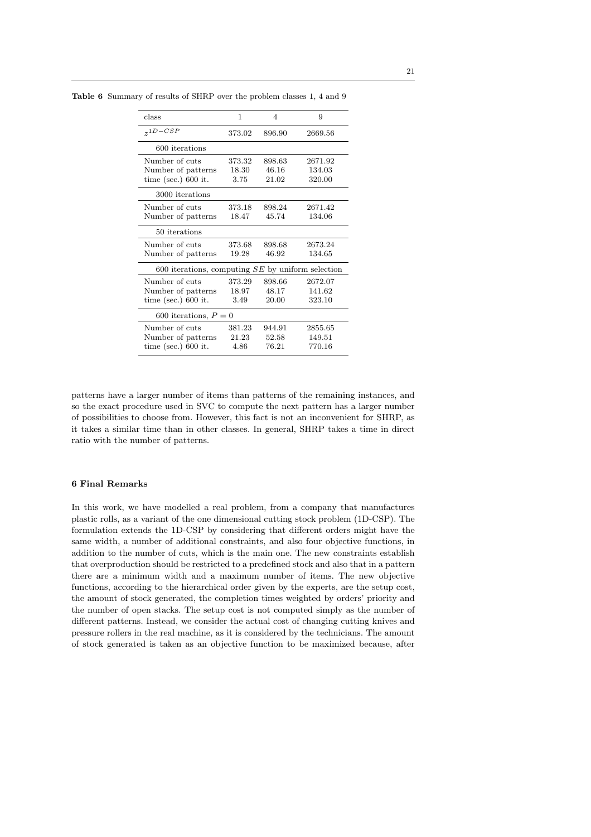| class                                               | 1      | 4      | 9       |
|-----------------------------------------------------|--------|--------|---------|
| $\gamma^{1D-CSP}$                                   | 373.02 | 896.90 | 2669.56 |
| 600 iterations                                      |        |        |         |
| Number of cuts                                      | 373.32 | 898.63 | 2671.92 |
| Number of patterns                                  | 18.30  | 46.16  | 134.03  |
| time (sec.) $600$ it.                               | 3.75   | 21.02  | 320.00  |
| 3000 iterations                                     |        |        |         |
| Number of cuts                                      | 373.18 | 898.24 | 2671.42 |
| Number of patterns                                  | 18.47  | 45.74  | 134.06  |
| 50 iterations                                       |        |        |         |
| Number of cuts                                      | 373.68 | 898.68 | 2673.24 |
| Number of patterns                                  | 19.28  | 46.92  | 134.65  |
| 600 iterations, computing $SE$ by uniform selection |        |        |         |
| Number of cuts                                      | 373.29 | 898.66 | 2672.07 |
| Number of patterns                                  | 18.97  | 48.17  | 141.62  |
| time (sec.) $600$ it.                               | 3.49   | 20.00  | 323.10  |
| 600 iterations, $P=0$                               |        |        |         |
| Number of cuts                                      | 381.23 | 944.91 | 2855.65 |
| Number of patterns                                  | 21.23  | 52.58  | 149.51  |
| time (sec.) $600$ it.                               | 4.86   | 76.21  | 770.16  |

Table 6 Summary of results of SHRP over the problem classes 1, 4 and 9

patterns have a larger number of items than patterns of the remaining instances, and so the exact procedure used in SVC to compute the next pattern has a larger number of possibilities to choose from. However, this fact is not an inconvenient for SHRP, as it takes a similar time than in other classes. In general, SHRP takes a time in direct ratio with the number of patterns.

# 6 Final Remarks

In this work, we have modelled a real problem, from a company that manufactures plastic rolls, as a variant of the one dimensional cutting stock problem (1D-CSP). The formulation extends the 1D-CSP by considering that different orders might have the same width, a number of additional constraints, and also four objective functions, in addition to the number of cuts, which is the main one. The new constraints establish that overproduction should be restricted to a predefined stock and also that in a pattern there are a minimum width and a maximum number of items. The new objective functions, according to the hierarchical order given by the experts, are the setup cost, the amount of stock generated, the completion times weighted by orders' priority and the number of open stacks. The setup cost is not computed simply as the number of different patterns. Instead, we consider the actual cost of changing cutting knives and pressure rollers in the real machine, as it is considered by the technicians. The amount of stock generated is taken as an objective function to be maximized because, after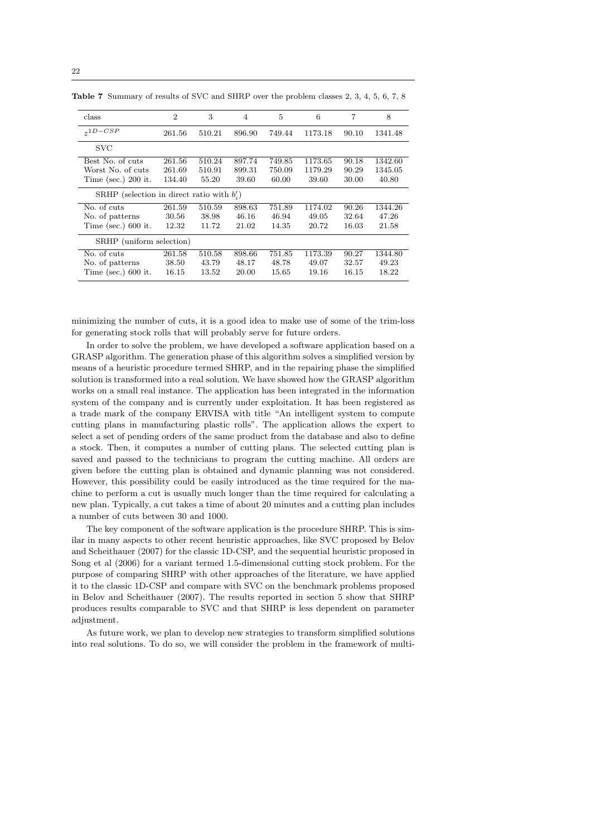| class                                         | $\overline{2}$ | 3      | $\overline{4}$ | 5      | 6       | 7     | 8       |  |
|-----------------------------------------------|----------------|--------|----------------|--------|---------|-------|---------|--|
| $\gamma^{1D-CSP}$                             | 261.56         | 510.21 | 896.90         | 749.44 | 1173.18 | 90.10 | 1341.48 |  |
| SVC                                           |                |        |                |        |         |       |         |  |
| Best No. of cuts                              | 261.56         | 510.24 | 897.74         | 749.85 | 1173.65 | 90.18 | 1342.60 |  |
| Worst No. of cuts                             | 261.69         | 510.91 | 899.31         | 750.09 | 1179.29 | 90.29 | 1345.05 |  |
| Time (sec.) $200$ it.                         | 134.40         | 55.20  | 39.60          | 60.00  | 39.60   | 30.00 | 40.80   |  |
| SRHP (selection in direct ratio with $b_i'$ ) |                |        |                |        |         |       |         |  |
| No. of cuts                                   | 261.59         | 510.59 | 898.63         | 751.89 | 1174.02 | 90.26 | 1344.26 |  |
| No. of patterns                               | 30.56          | 38.98  | 46.16          | 46.94  | 49.05   | 32.64 | 47.26   |  |
| Time (sec.) $600$ it.                         | 12.32          | 11.72  | 21.02          | 14.35  | 20.72   | 16.03 | 21.58   |  |
| SRHP (uniform selection)                      |                |        |                |        |         |       |         |  |
| No. of cuts                                   | 261.58         | 510.58 | 898.66         | 751.85 | 1173.39 | 90.27 | 1344.80 |  |
| No. of patterns                               | 38.50          | 43.79  | 48.17          | 48.78  | 49.07   | 32.57 | 49.23   |  |
| Time (sec.) $600$ it.                         | 16.15          | 13.52  | 20.00          | 15.65  | 19.16   | 16.15 | 18.22   |  |

Table 7 Summary of results of SVC and SHRP over the problem classes 2, 3, 4, 5, 6, 7, 8

minimizing the number of cuts, it is a good idea to make use of some of the trim-loss for generating stock rolls that will probably serve for future orders.

In order to solve the problem, we have developed a software application based on a GRASP algorithm. The generation phase of this algorithm solves a simplified version by means of a heuristic procedure termed SHRP, and in the repairing phase the simplified solution is transformed into a real solution. We have showed how the GRASP algorithm works on a small real instance. The application has been integrated in the information system of the company and is currently under exploitation. It has been registered as a trade mark of the company ERVISA with title "An intelligent system to compute cutting plans in manufacturing plastic rolls". The application allows the expert to select a set of pending orders of the same product from the database and also to define a stock. Then, it computes a number of cutting plans. The selected cutting plan is saved and passed to the technicians to program the cutting machine. All orders are given before the cutting plan is obtained and dynamic planning was not considered. However, this possibility could be easily introduced as the time required for the machine to perform a cut is usually much longer than the time required for calculating a new plan. Typically, a cut takes a time of about 20 minutes and a cutting plan includes a number of cuts between 30 and 1000.

The key component of the software application is the procedure SHRP. This is similar in many aspects to other recent heuristic approaches, like SVC proposed by Belov and Scheithauer (2007) for the classic 1D-CSP, and the sequential heuristic proposed in Song et al (2006) for a variant termed 1.5-dimensional cutting stock problem. For the purpose of comparing SHRP with other approaches of the literature, we have applied it to the classic 1D-CSP and compare with SVC on the benchmark problems proposed in Belov and Scheithauer (2007). The results reported in section 5 show that SHRP produces results comparable to SVC and that SHRP is less dependent on parameter adjustment.

As future work, we plan to develop new strategies to transform simplified solutions into real solutions. To do so, we will consider the problem in the framework of multi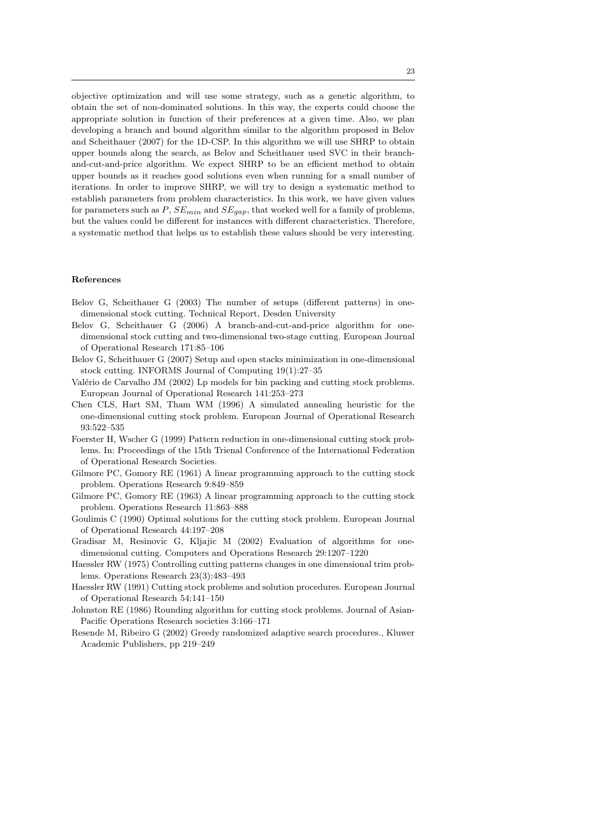objective optimization and will use some strategy, such as a genetic algorithm, to obtain the set of non-dominated solutions. In this way, the experts could choose the appropriate solution in function of their preferences at a given time. Also, we plan developing a branch and bound algorithm similar to the algorithm proposed in Belov and Scheithauer (2007) for the 1D-CSP. In this algorithm we will use SHRP to obtain upper bounds along the search, as Belov and Scheithauer used SVC in their branchand-cut-and-price algorithm. We expect SHRP to be an efficient method to obtain upper bounds as it reaches good solutions even when running for a small number of iterations. In order to improve SHRP, we will try to design a systematic method to establish parameters from problem characteristics. In this work, we have given values for parameters such as  $P$ ,  $SE_{min}$  and  $SE_{gap}$ , that worked well for a family of problems, but the values could be different for instances with different characteristics. Therefore, a systematic method that helps us to establish these values should be very interesting.

# References

- Belov G, Scheithauer G (2003) The number of setups (different patterns) in onedimensional stock cutting. Technical Report, Desden University
- Belov G, Scheithauer G (2006) A branch-and-cut-and-price algorithm for onedimensional stock cutting and two-dimensional two-stage cutting. European Journal of Operational Research 171:85–106
- Belov G, Scheithauer G (2007) Setup and open stacks minimization in one-dimensional stock cutting. INFORMS Journal of Computing 19(1):27–35
- Valério de Carvalho JM (2002) Lp models for bin packing and cutting stock problems. European Journal of Operational Research 141:253–273
- Chen CLS, Hart SM, Tham WM (1996) A simulated annealing heuristic for the one-dimensional cutting stock problem. European Journal of Operational Research 93:522–535
- Foerster H, Wscher G (1999) Pattern reduction in one-dimensional cutting stock problems. In: Proceedings of the 15th Trienal Conference of the International Federation of Operational Research Societies.
- Gilmore PC, Gomory RE (1961) A linear programming approach to the cutting stock problem. Operations Research 9:849–859
- Gilmore PC, Gomory RE (1963) A linear programming approach to the cutting stock problem. Operations Research 11:863–888
- Goulimis C (1990) Optimal solutions for the cutting stock problem. European Journal of Operational Research 44:197–208
- Gradisar M, Resinovic G, Kljajic M (2002) Evaluation of algorithms for onedimensional cutting. Computers and Operations Research 29:1207–1220
- Haessler RW (1975) Controlling cutting patterns changes in one dimensional trim problems. Operations Research 23(3):483–493
- Haessler RW (1991) Cutting stock problems and solution procedures. European Journal of Operational Research 54:141–150
- Johnston RE (1986) Rounding algorithm for cutting stock problems. Journal of Asian-Pacific Operations Research societies 3:166–171
- Resende M, Ribeiro G (2002) Greedy randomized adaptive search procedures., Kluwer Academic Publishers, pp 219–249